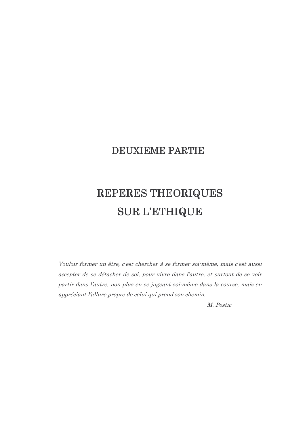# **DEUXIEME PARTIE**

# REPERES THEORIQUES **SUR L'ETHIQUE**

Vouloir former un être, c'est chercher à se former soi-même, mais c'est aussi accepter de se détacher de soi, pour vivre dans l'autre, et surtout de se voir partir dans l'autre, non plus en se jugeant soi-même dans la course, mais en appréciant l'allure propre de celui qui prend son chemin.

M. Postic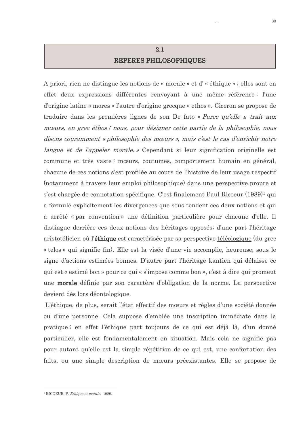# $2.1$ REPERES PHILOSOPHIQUES

A priori, rien ne distingue les notions de « morale » et d' « éthique » ; elles sont en effet deux expressions différentes renvoyant à une même référence : l'une d'origine latine « mores » l'autre d'origine grecque « ethos ». Ciceron se propose de traduire dans les premières lignes de son De fato « Parce qu'elle a trait aux mœurs, en grec éthos; nous, pour désigner cette partie de la philosophie, nous disons couramment « philosophie des mœurs », mais c'est le cas d'enrichir notre *langue et de l'appeler morale.* » Cependant si leur signification originelle est commune et très vaste : mœurs, coutumes, comportement humain en général, chacune de ces notions s'est profilée au cours de l'histoire de leur usage respectif (notamment à travers leur emploi philosophique) dans une perspective propre et s'est chargée de connotation spécifique. C'est finalement Paul Ricoeur (1989)<sup>1</sup> qui a formulé explicitement les divergences que sous-tendent ces deux notions et qui a arrêté « par convention » une définition particulière pour chacune d'elle. Il distingue derrière ces deux notions des héritages opposés; d'une part l'héritage aristotélicien où l'**éthique** est caractérisée par sa perspective téléologique (du grec « telos » qui signifie fin). Elle est la visée d'une vie accomplie, heureuse, sous le signe d'actions estimées bonnes. D'autre part l'héritage kantien qui délaisse ce qui est « estimé bon » pour ce qui « s'impose comme bon », c'est à dire qui promeut une **morale** définie par son caractère d'obligation de la norme. La perspective devient dès lors déontologique.

L'éthique, de plus, serait l'état effectif des mœurs et règles d'une société donnée ou d'une personne. Cela suppose d'emblée une inscription immédiate dans la pratique; en effet l'éthique part toujours de ce qui est déjà là, d'un donné particulier, elle est fondamentalement en situation. Mais cela ne signifie pas pour autant qu'elle est la simple répétition de ce qui est, une confortation des faits, ou une simple description de mœurs préexistantes. Elle se propose de

<sup>&</sup>lt;sup>1</sup> RICOEUR P *Ethique et morale* 1989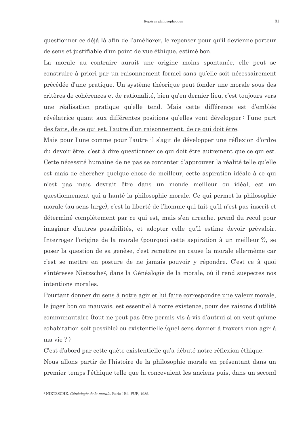questionner ce déjà là afin de l'améliorer, le repenser pour qu'il devienne porteur de sens et justifiable d'un point de vue éthique, estimé bon.

La morale au contraire aurait une origine moins spontanée, elle peut se construire à priori par un raisonnement formel sans qu'elle soit nécessairement précédée d'une pratique. Un système théorique peut fonder une morale sous des critères de cohérences et de rationalité, bien qu'en dernier lieu, c'est toujours vers une réalisation pratique qu'elle tend. Mais cette différence est d'emblée révélatrice quant aux différentes positions qu'elles vont développer: l'une part des faits, de ce qui est, l'autre d'un raisonnement, de ce qui doit être.

Mais pour l'une comme pour l'autre il s'agit de développer une réflexion d'ordre du devoir être, c'est-à-dire questionner ce qui doit être autrement que ce qui est. Cette nécessité humaine de ne pas se contenter d'approuver la réalité telle qu'elle est mais de chercher quelque chose de meilleur, cette aspiration idéale à ce qui n'est pas mais devrait être dans un monde meilleur ou idéal, est un questionnement qui a hanté la philosophie morale. Ce qui permet la philosophie morale (au sens large), c'est la liberté de l'homme qui fait qu'il n'est pas inscrit et déterminé complètement par ce qui est, mais s'en arrache, prend du recul pour imaginer d'autres possibilités, et adopter celle qu'il estime devoir prévaloir. Interroger l'origine de la morale (pourquoi cette aspiration à un meilleur ?), se poser la question de sa genèse, c'est remettre en cause la morale elle-même car c'est se mettre en posture de ne jamais pouvoir y répondre. C'est ce à quoi s'intéresse Nietzsche<sup>2</sup>, dans la Généalogie de la morale, où il rend suspectes nos intentions morales.

Pourtant donner du sens à notre agir et lui faire correspondre une valeur morale, le juger bon ou mauvais, est essentiel à notre existence, pour des raisons d'utilité communautaire (tout ne peut pas être permis vis à vis d'autrui si on veut qu'une cohabitation soit possible) ou existentielle (quel sens donner à travers mon agir à ma vie ?)

C'est d'abord par cette quête existentielle qu'a débuté notre réflexion éthique.

Nous allons partir de l'histoire de la philosophie morale en présentant dans un premier temps l'éthique telle que la concevaient les anciens puis, dans un second

<sup>&</sup>lt;sup>2</sup> NIETZSCHE. Généalogie de la morale. Paris : Ed. PUF, 1985.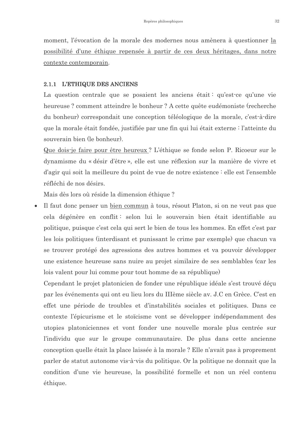moment, l'évocation de la morale des modernes nous amènera à questionner la possibilité d'une éthique repensée à partir de ces deux héritages, dans notre contexte contemporain.

#### 2.1.1 L'ETHIQUE DES ANCIENS

La question centrale que se posaient les anciens était : qu'est-ce qu'une vie heureuse? comment atteindre le bonheur? A cette quête eudémoniste (recherche du bonheur) correspondait une conception téléologique de la morale, c'est-à-dire que la morale était fondée, justifiée par une fin qui lui était externe : l'atteinte du souverain bien (le bonheur).

Que dois-je faire pour être heureux? L'éthique se fonde selon P. Ricoeur sur le dynamisme du « désir d'être », elle est une réflexion sur la manière de vivre et d'agir qui soit la meilleure du point de vue de notre existence : elle est l'ensemble réfléchi de nos désirs.

Mais dès lors où réside la dimension éthique?

Il faut donc penser un bien commun à tous, résout Platon, si on ne veut pas que cela dégénère en conflit selon lui le souverain bien était identifiable au politique, puisque c'est cela qui sert le bien de tous les hommes. En effet c'est par les lois politiques (interdisant et punissant le crime par exemple) que chacun va se trouver protégé des agressions des autres hommes et va pouvoir développer une existence heureuse sans nuire au projet similaire de ses semblables (car les lois valent pour lui comme pour tout homme de sa république)

Cependant le projet platonicien de fonder une république idéale s'est trouvé décu par les événements qui ont eu lieu lors du IIIème siècle av. J.C en Grèce. C'est en effet une période de troubles et d'instabilités sociales et politiques. Dans ce contexte l'épicurisme et le stoïcisme vont se développer indépendamment des utopies platoniciennes et vont fonder une nouvelle morale plus centrée sur l'individu que sur le groupe communautaire. De plus dans cette ancienne conception quelle était la place laissée à la morale? Elle n'avait pas à proprement parler de statut autonome vis-à-vis du politique. Or la politique ne donnait que la condition d'une vie heureuse, la possibilité formelle et non un réel contenu éthique.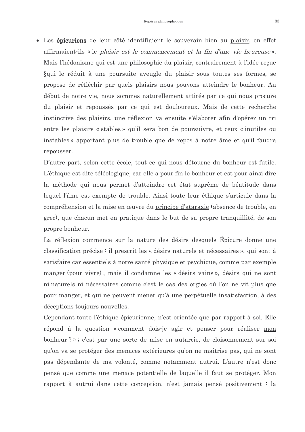• Les épicuriens de leur côté identifiaient le souverain bien au plaisir, en effet affirmaient ils « le *plaisir est le commencement et la fin d'une vie heureuse* ». Mais l'hédonisme qui est une philosophie du plaisir, contrairement à l'idée reçue Squi le réduit à une poursuite aveugle du plaisir sous toutes ses formes, se propose de réfléchir par quels plaisirs nous pouvons atteindre le bonheur. Au début de notre vie, nous sommes naturellement attirés par ce qui nous procure du plaisir et repoussés par ce qui est douloureux. Mais de cette recherche instinctive des plaisirs, une réflexion va ensuite s'élaborer afin d'opérer un tri entre les plaisirs « stables » qu'il sera bon de poursuivre, et ceux « inutiles ou instables » apportant plus de trouble que de repos à notre âme et qu'il faudra repousser.

D'autre part, selon cette école, tout ce qui nous détourne du bonheur est futile. L'éthique est dite téléologique, car elle a pour fin le bonheur et est pour ainsi dire la méthode qui nous permet d'atteindre cet état suprême de béatitude dans lequel l'âme est exempte de trouble. Ainsi toute leur éthique s'articule dans la compréhension et la mise en œuvre du principe d'ataraxie (absence de trouble, en grec), que chacun met en pratique dans le but de sa propre tranquillité, de son propre bonheur.

La réflexion commence sur la nature des désirs desquels Épicure donne une classification précise : il prescrit les « désirs naturels et nécessaires », qui sont à satisfaire car essentiels à notre santé physique et psychique, comme par exemple manger (pour vivre), mais il condamne les « désirs vains », désirs qui ne sont ni naturels ni nécessaires comme c'est le cas des orgies où l'on ne vit plus que pour manger, et qui ne peuvent mener qu'à une perpétuelle insatisfaction, à des déceptions toujours nouvelles.

Cependant toute l'éthique épicurienne, n'est orientée que par rapport à soi. Elle répond à la question « comment dois-je agir et penser pour réaliser mon bonheur?»; c'est par une sorte de mise en autarcie, de cloisonnement sur soi qu'on va se protéger des menaces extérieures qu'on ne maîtrise pas, qui ne sont pas dépendante de ma volonté, comme notamment autrui. L'autre n'est donc pensé que comme une menace potentielle de laquelle il faut se protéger. Mon rapport à autrui dans cette conception, n'est jamais pensé positivement : la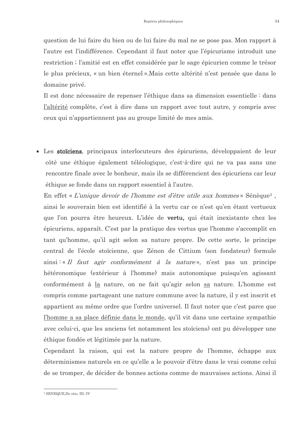question de lui faire du bien ou de lui faire du mal ne se pose pas. Mon rapport à l'autre est l'indifférence. Cependant il faut noter que l'épicurisme introduit une restriction; l'amitié est en effet considérée par le sage épicurien comme le trésor le plus précieux, « un bien éternel ». Mais cette altérité n'est pensée que dans le domaine privé.

Il est donc nécessaire de repenser l'éthique dans sa dimension essentielle : dans l'altérité complète, c'est à dire dans un rapport avec tout autre, y compris avec ceux qui n'appartiennent pas au groupe limité de mes amis.

• Les stoïciens, principaux interlocuteurs des épicuriens, développaient de leur côté une éthique également téléologique, c'est-à-dire qui ne va pas sans une rencontre finale avec le bonheur, mais ils se différencient des épicuriens car leur éthique se fonde dans un rapport essentiel à l'autre.

En effet « L'unique devoir de l'homme est d'être utile aux hommes » Sénèque<sup>3</sup>, ainsi le souverain bien est identifié à la vertu car ce n'est qu'en étant vertueux que l'on pourra être heureux. L'idée de **vertu**, qui était inexistante chez les épicuriens, apparaît. C'est par la pratique des vertus que l'homme s'accomplit en tant qu'homme, qu'il agit selon sa nature propre. De cette sorte, le principe central de l'école stoïcienne, que Zénon de Cittium (son fondateur) formule  $\sin\left(\frac{1}{x}\right)$  and  $\sin\left(\frac{1}{x}\right)$  and  $\sin\left(\frac{1}{x}\right)$  and  $\sin\left(\frac{1}{x}\right)$  and  $\sin\left(\frac{1}{x}\right)$  and  $\sin\left(\frac{1}{x}\right)$  and  $\sin\left(\frac{1}{x}\right)$  and  $\sin\left(\frac{1}{x}\right)$  and  $\sin\left(\frac{1}{x}\right)$  and  $\sin\left(\frac{1}{x}\right)$  and  $\sin\left(\frac{1}{x}\right)$  and hétéronomique (extérieur à l'homme) mais autonomique puisqu'en agissant conformément à la nature, on ne fait qu'agir selon sa nature. L'homme est compris comme partageant une nature commune avec la nature, il y est inscrit et appartient au même ordre que l'ordre universel. Il faut noter que c'est parce que l'homme a sa place définie dans le monde, qu'il vit dans une certaine sympathie avec celui-ci, que les anciens (et notamment les stoïciens) ont pu développer une éthique fondée et légitimée par la nature.

Cependant la raison, qui est la nature propre de l'homme, échappe aux déterminismes naturels en ce qu'elle a le pouvoir d'être dans le vrai comme celui de se tromper, de décider de bonnes actions comme de mauvaises actions. Ainsi il

<sup>&</sup>lt;sup>3</sup> SENEQUE, De otio, III.-IV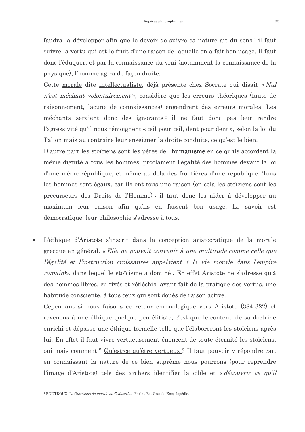faudra la développer afin que le devoir de suivre sa nature ait du sens il faut suivre la vertu qui est le fruit d'une raison de laquelle on a fait bon usage. Il faut donc l'éduquer, et par la connaissance du vrai (notamment la connaissance de la physique), l'homme agira de façon droite.

Cette morale dite intellectualiste, déjà présente chez Socrate qui disait « Nul *n'est méchant volontairement*», considère que les erreurs théoriques (faute de raisonnement, lacune de connaissances) engendrent des erreurs morales. Les méchants seraient donc des ignorants; il ne faut donc pas leur rendre l'agressivité qu'il nous témoignent « œil pour œil, dent pour dent », selon la loi du Talion mais au contraire leur enseigner la droite conduite, ce qu'est le bien.

D'autre part les stoïciens sont les pères de l'humanisme en ce qu'ils accordent la même dignité à tous les hommes, proclament l'égalité des hommes devant la loi d'une même république, et même au-delà des frontières d'une république. Tous les hommes sont égaux, car ils ont tous une raison (en cela les stoïciens sont les précurseurs des Droits de l'Homme); il faut donc les aider à développer au maximum leur raison afin qu'ils en fassent bon usage. Le savoir est démocratique, leur philosophie s'adresse à tous.

L'éthique d'Aristote s'inscrit dans la conception aristocratique de la morale grecque en général. « Elle ne pouvait convenir à une multitude comme celle que l'égalité et l'instruction croissantes appelaient à la vie morale dans l'empire romain<sup>4</sup>», dans lequel le stoïcisme a dominé. En effet Aristote ne s'adresse qu'à des hommes libres, cultivés et réfléchis, ayant fait de la pratique des vertus, une habitude consciente, à tous ceux qui sont doués de raison active.

Cependant si nous faisons ce retour chronologique vers Aristote (384-322) et revenons à une éthique quelque peu élitiste, c'est que le contenu de sa doctrine enrichi et dépasse une éthique formelle telle que l'élaboreront les stoïciens après lui. En effet il faut vivre vertueusement énoncent de toute éternité les stoïciens, oui mais comment? Qu'est-ce qu'être vertueux? Il faut pouvoir y répondre car, en connaissant la nature de ce bien suprême nous pourrons (pour reprendre l'image d'Aristote) tels des archers identifier la cible et « découvrir ce qu'il

<sup>&</sup>lt;sup>4</sup> BOUTROUX, L. *Questions de morale et d'éducation*. Paris : Ed. Grande Encyclopédie.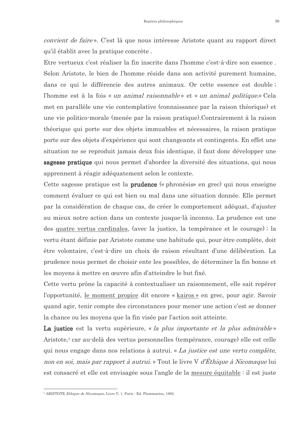*convient de faire*». C'est là que nous intéresse Aristote quant au rapport direct qu'il établit avec la pratique concrète.

Etre vertueux c'est réaliser la fin inscrite dans l'homme c'est-à-dire son essence. Selon Aristote, le bien de l'homme réside dans son activité purement humaine, dans ce qui le différencie des autres animaux. Or cette essence est double; l'homme est à la fois « un animal raisonnable » et « un animal politique » Cela met en parallèle une vie contemplative (connaissance par la raison théorique) et une vie politico-morale (menée par la raison pratique). Contrairement à la raison théorique qui porte sur des objets immuables et nécessaires, la raison pratique porte sur des objets d'expérience qui sont changeants et contingents. En effet une situation ne se reproduit jamais deux fois identique, il faut donc développer une sagesse pratique qui nous permet d'aborder la diversité des situations, qui nous apprennent à réagir adéquatement selon le contexte.

Cette sagesse pratique est la **prudence** (« phronèsis» en grec) qui nous enseigne comment évaluer ce qui est bien ou mal dans une situation donnée. Elle permet par la considération de chaque cas, de créer le comportement adéquat, d'ajuster au mieux notre action dans un contexte jusque là inconnu. La prudence est une des quatre vertus cardinales, (avec la justice, la tempérance et le courage); la vertu étant définie par Aristote comme une habitude qui, pour être complète, doit être volontaire, c'est-à-dire un choix de raison résultant d'une délibération. La prudence nous permet de choisir ente les possibles, de déterminer la fin bonne et les movens à mettre en œuvre afin d'atteindre le but fixé.

Cette vertu prône la capacité à contextualiser un raisonnement, elle sait repérer l'opportunité, le moment propice dit encore « kairos » en grec, pour agir. Savoir quand agir, tenir compte des circonstances pour mener une action c'est se donner la chance ou les moyens que la fin visée par l'action soit atteinte.

La justice est la vertu supérieure, « la plus importante et la plus admirable » Aristote,<sup>5</sup> car au-delà des vertus personnelles (tempérance, courage) elle est celle qui nous engage dans nos relations à autrui. « La justice est une vertu complète, non en soi, mais par rapport à autrui. » Tout le livre V d'Éthique à Nicomaque lui est consacré et elle est envisagée sous l'angle de la mesure équitable : il est juste

<sup>&</sup>lt;sup>5</sup> ARISTOTE *Ethique de Nicomaque*, Livre V, 1, Paris : Ed. Flammarion, 1992.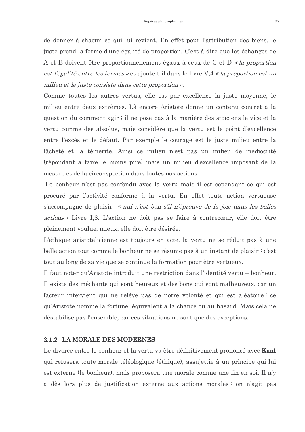de donner à chacun ce qui lui revient. En effet pour l'attribution des biens, le juste prend la forme d'une égalité de proportion. C'est-à-dire que les échanges de A et B doivent être proportionnellement égaux à ceux de C et D « la proportion est l'égalité entre les termes » et ajoute t-il dans le livre V, 4 « la proportion est un milieu et le juste consiste dans cette proportion ».

Comme toutes les autres vertus, elle est par excellence la juste moyenne, le milieu entre deux extrêmes. Là encore Aristote donne un contenu concret à la question du comment agir; il ne pose pas à la manière des stoïciens le vice et la vertu comme des absolus, mais considère que la vertu est le point d'excellence entre l'excès et le défaut. Par exemple le courage est le juste milieu entre la lâcheté et la témérité. Ainsi ce milieu n'est pas un milieu de médiocrité (répondant à faire le moins pire) mais un milieu d'excellence imposant de la mesure et de la circonspection dans toutes nos actions.

Le bonheur n'est pas confondu avec la vertu mais il est cependant ce qui est procuré par l'activité conforme à la vertu. En effet toute action vertueuse s'accompagne de plaisir : « *nul n'est bon s'il n'éprouve de la joie dans les belles* actions» Livre I.8. L'action ne doit pas se faire à contrecœur, elle doit être pleinement voulue, mieux, elle doit être désirée.

L'éthique aristotélicienne est toujours en acte, la vertu ne se réduit pas à une belle action tout comme le bonheur ne se résume pas à un instant de plaisir : c'est tout au long de sa vie que se continue la formation pour être vertueux.

Il faut noter qu'Aristote introduit une restriction dans l'identité vertu = bonheur. Il existe des méchants qui sont heureux et des bons qui sont malheureux, car un facteur intervient qui ne relève pas de notre volonté et qui est aléatoire : ce qu'Aristote nomme la fortune, équivalent à la chance ou au hasard. Mais cela ne déstabilise pas l'ensemble, car ces situations ne sont que des exceptions.

# 2.1.2 LA MORALE DES MODERNES

Le divorce entre le bonheur et la vertu va être définitivement prononcé avec Kant qui refusera toute morale téléologique (éthique), assujettie à un principe qui lui est externe (le bonheur), mais proposera une morale comme une fin en soi. Il n'y a dès lors plus de justification externe aux actions morales : on n'agit pas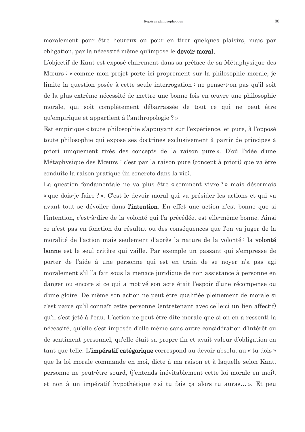moralement pour être heureux ou pour en tirer quelques plaisirs, mais par obligation, par la nécessité même qu'impose le **devoir moral**.

L'objectif de Kant est exposé clairement dans sa préface de sa Métaphysique des Mœurs : « comme mon projet porte ici proprement sur la philosophie morale, je limite la question posée à cette seule interrogation : ne pense-t-on pas qu'il soit de la plus extrême nécessité de mettre une bonne fois en œuvre une philosophie morale, qui soit complètement débarrassée de tout ce qui ne peut être qu'empirique et appartient à l'anthropologie ? »

Est empirique « toute philosophie s'appuyant sur l'expérience, et pure, à l'opposé toute philosophie qui expose ses doctrines exclusivement à partir de principes à priori uniquement tirés des concepts de la raison pure». D'où l'idée d'une Métaphysique des Mœurs : c'est par la raison pure (concept à priori) que va être conduite la raison pratique (in concreto dans la vie).

La question fondamentale ne va plus être « comment vivre ? » mais désormais « que dois-je faire ? ». C'est le devoir moral qui va présider les actions et qui va avant tout se dévoiler dans l'intention. En effet une action n'est bonne que si l'intention, c'est-à-dire de la volonté qui l'a précédée, est elle-même bonne. Ainsi ce n'est pas en fonction du résultat ou des conséquences que l'on va juger de la moralité de l'action mais seulement d'après la nature de la volonté : la volonté **bonne** est le seul critère qui vaille. Par exemple un passant qui s'empresse de porter de l'aide à une personne qui est en train de se noyer n'a pas agi moralement s'il l'a fait sous la menace juridique de non assistance à personne en danger ou encore si ce qui a motivé son acte était l'espoir d'une récompense ou d'une gloire. De même son action ne peut être qualifiée pleinement de morale si c'est parce qu'il connaît cette personne (entretenant avec celle-ci un lien affectif) qu'il s'est jeté à l'eau. L'action ne peut être dite morale que si on en a ressenti la nécessité, qu'elle s'est imposée d'elle-même sans autre considération d'intérêt ou de sentiment personnel, qu'elle était sa propre fin et avait valeur d'obligation en tant que telle. L'impératif catégorique correspond au devoir absolu, au « tu dois » que la loi morale commande en moi, dicte à ma raison et à laquelle selon Kant, personne ne peut-être sourd, (j'entends inévitablement cette loi morale en moi), et non à un impératif hypothétique « si tu fais ça alors tu auras... ». Et peu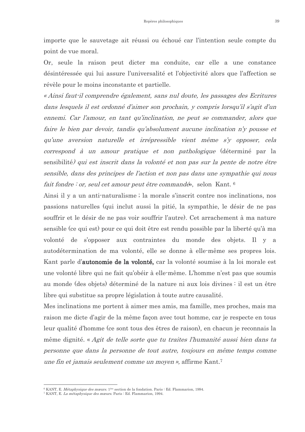importe que le sauvetage ait réussi ou échoué car l'intention seule compte du point de vue moral.

Or, seule la raison peut dicter ma conduite, car elle a une constance désintéressée qui lui assure l'universalité et l'objectivité alors que l'affection se révèle pour le moins inconstante et partielle.

« Ainsi faut-il comprendre également, sans nul doute, les passages des Ecritures dans lesquels il est ordonné d'aimer son prochain, y compris lorsqu'il s'agit d'un ennemi. Car l'amour, en tant qu'inclination, ne peut se commander, alors que faire le bien par devoir, tandis qu'absolument aucune inclination n'y pousse et qu'une aversion naturelle et irrépressible vient même s'y opposer, cela correspond à un amour pratique et non pathologique (déterminé par la sensibilité) qui est inscrit dans la volonté et non pas sur la pente de notre être sensible, dans des principes de l'action et non pas dans une sympathie qui nous fait fondre : or, seul cet amour peut être commandé», selon Kant. 6

Ainsi il y a un anti-naturalisme; la morale s'inscrit contre nos inclinations, nos passions naturelles (qui inclut aussi la pitié, la sympathie, le désir de ne pas souffrir et le désir de ne pas voir souffrir l'autre). Cet arrachement à ma nature sensible (ce qui est) pour ce qui doit être est rendu possible par la liberté qu'à ma volonté de s'opposer aux contraintes du monde des objets. Il y a autodétermination de ma volonté, elle se donne à elle-même ses propres lois. Kant parle d'autonomie de la volonté, car la volonté soumise à la loi morale est une volonté libre qui ne fait qu'obéir à elle-même. L'homme n'est pas que soumis au monde (des objets) déterminé de la nature ni aux lois divines : il est un être libre qui substitue sa propre législation à toute autre causalité.

Mes inclinations me portent à aimer mes amis, ma famille, mes proches, mais ma raison me dicte d'agir de la même façon avec tout homme, car je respecte en tous leur qualité d'homme (ce sont tous des êtres de raison), en chacun je reconnais la même dignité. « Agit de telle sorte que tu traites l'humanité aussi bien dans ta personne que dans la personne de tout autre, toujours en même temps comme une fin et jamais seulement comme un moyen », affirme Kant.<sup>7</sup>

<sup>&</sup>lt;sup>6</sup> KANT, E. *Métaphysique des mœurs*, 1<sup>ère</sup> section de la fondation, Paris : Ed. Flammarion, 1994.

<sup>&</sup>lt;sup>7</sup> KANT, E. *La métaphysique des mœurs*. Paris : Ed. Flammarion, 1994.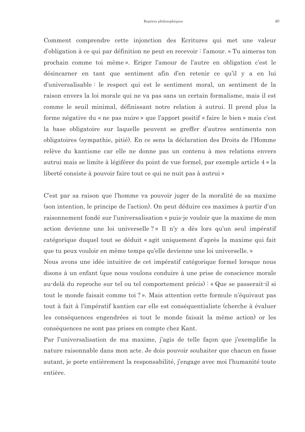Comment comprendre cette injonction des Ecritures qui met une valeur d'obligation à ce qui par définition ne peut en recevoir : l'amour. « Tu aimeras ton prochain comme toi même». Eriger l'amour de l'autre en obligation c'est le désincarner en tant que sentiment afin d'en retenir ce qu'il y a en lui d'universalisable : le respect qui est le sentiment moral, un sentiment de la raison envers la loi morale qui ne va pas sans un certain formalisme, mais il est comme le seuil minimal, définissant notre relation à autrui. Il prend plus la forme négative du « ne pas nuire » que l'apport positif « faire le bien » mais c'est la base obligatoire sur laquelle peuvent se greffer d'autres sentiments non obligatoires (sympathie, pitié). En ce sens la déclaration des Droits de l'Homme relève du kantisme car elle ne donne pas un contenu à mes relations envers autrui mais se limite à légiférer du point de vue formel, par exemple article 4 « la liberté consiste à pouvoir faire tout ce qui ne nuit pas à autrui »

C'est par sa raison que l'homme va pouvoir juger de la moralité de sa maxime (son intention, le principe de l'action). On peut déduire ces maximes à partir d'un raisonnement fondé sur l'universalisation « puis-je vouloir que la maxime de mon action devienne une loi universelle?» Il n'y a dès lors qu'un seul impératif catégorique duquel tout se déduit « agit uniquement d'après la maxime qui fait que tu peux vouloir en même temps qu'elle devienne une loi universelle. »

Nous avons une idée intuitive de cet impératif catégorique formel lorsque nous disons à un enfant (que nous voulons conduire à une prise de conscience morale au-delà du reproche sur tel ou tel comportement précis): « Que se passerait-il si tout le monde faisait comme toi ? ». Mais attention cette formule n'équivaut pas tout à fait à l'impératif kantien car elle est conséquentialiste (cherche à évaluer les conséquences engendrées si tout le monde faisait la même action or les conséquences ne sont pas prises en compte chez Kant.

Par l'universalisation de ma maxime, j'agis de telle façon que j'exemplifie la nature raisonnable dans mon acte. Je dois pouvoir souhaiter que chacun en fasse autant, je porte entièrement la responsabilité, j'engage avec moi l'humanité toute entière.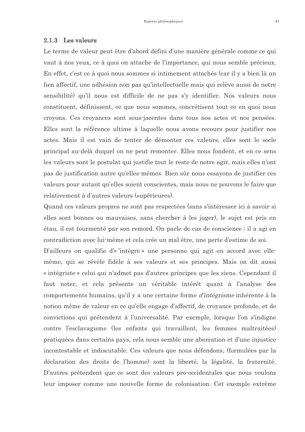#### 2.1.3 Les valeurs

Le terme de valeur peut être d'abord défini d'une manière générale comme ce qui vaut à nos yeux, ce à quoi on attache de l'importance, qui nous semble précieux. En effet, c'est ce à quoi nous sommes si intimement attachés (car il y a bien là un lien affectif, une adhésion non pas qu'intellectuelle mais qui relève aussi de notre sensibilité) qu'il nous est difficile de ne pas s'y identifier. Nos valeurs nous constituent, définissent, ce que nous sommes, concrétisent tout ce en quoi nous croyons. Ces croyances sont sous-jacentes dans tous nos actes et nos pensées. Elles sont la référence ultime à laquelle nous avons recours pour justifier nos actes. Mais il est vain de tenter de démonter ces valeurs, elles sont le socle principal au-delà duquel on ne peut remonter. Elles nous fondent, et en ce sens les valeurs sont le postulat qui justifie tout le reste de notre agir, mais elles n'ont pas de justification autre qu'elles-mêmes. Bien sûr nous essayons de justifier ces valeurs pour autant qu'elles soient conscientes, mais nous ne pouvons le faire que relativement à d'autres valeurs (supérieures).

Quand ces valeurs propres ne sont pas respectées (sans s'intéresser ici à savoir si elles sont bonnes ou mauvaises, sans chercher à les juger), le sujet est pris en étau, il est tourmenté par son remord. On parle de cas de conscience ; il a agi en contradiction avec lui-même et cela crée un mal être, une perte d'estime de soi.

D'ailleurs on qualifie d'« 'intègre » une personne qui agit en accord avec ellemême, qui se révèle fidèle à ses valeurs et ses principes. Mais on dit aussi « intégriste » celui qui n'admet pas d'autres principes que les siens. Cependant il faut noter, et cela présente un véritable intérêt quant à l'analyse des comportements humains, qu'il y a une certaine forme *d'intégrisme* inhérente à la notion même de valeur en ce qu'elle engage d'affectif, de croyance profonde, et de convictions qui prétendent à l'universalité. Par exemple, lorsque l'on s'indigne contre l'esclavagisme (les enfants qui travaillent, les femmes maltraitées) pratiquées dans certains pays, cela nous semble une aberration et d'une injustice incontestable et indiscutable. Ces valeurs que nous défendons, (formulées par la déclaration des droits de l'homme) sont la liberté, la légalité, la fraternité. D'autres prétendent que ce sont des valeurs pro-occidentales que nous voulons leur imposer comme une nouvelle forme de colonisation. Cet exemple extrême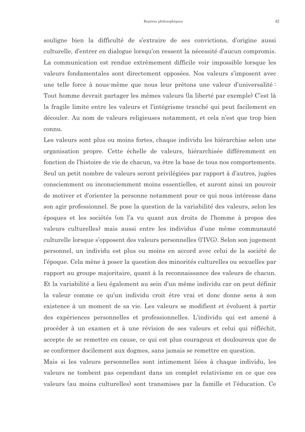souligne bien la difficulté de s'extraire de ses convictions, d'origine aussi culturelle, d'entrer en dialogue lorsqu'on ressent la nécessité d'aucun compromis. La communication est rendue extrêmement difficile voir impossible lorsque les valeurs fondamentales sont directement opposées. Nos valeurs s'imposent avec une telle force à nous-même que nous leur prêtons une valeur d'universalité : Tout homme devrait partager les mêmes valeurs (la liberté par exemple) C'est là la fragile limite entre les valeurs et l'intégrisme tranché qui peut facilement en découler. Au nom de valeurs religieuses notamment, et cela n'est que trop bien connu.

Les valeurs sont plus ou moins fortes, chaque individu les hiérarchise selon une organisation propre. Cette échelle de valeurs, hiérarchisée différemment en fonction de l'histoire de vie de chacun, va être la base de tous nos comportements. Seul un petit nombre de valeurs seront privilégiées par rapport à d'autres, jugées consciemment ou inconsciemment moins essentielles, et auront ainsi un pouvoir de motiver et d'orienter la personne notamment pour ce qui nous intéresse dans son agir professionnel. Se pose la question de la variabilité des valeurs, selon les époques et les sociétés (on l'a vu quant aux droits de l'homme à propos des valeurs culturelles) mais aussi entre les individus d'une même communauté culturelle lorsque s'opposent des valeurs personnelles (l'IVG). Selon son jugement personnel, un individu est plus ou moins en accord avec celui de la société de l'époque. Cela mène à poser la question des minorités culturelles ou sexuelles par rapport au groupe majoritaire, quant à la reconnaissance des valeurs de chacun. Et la variabilité a lieu également au sein d'un même individu car on peut définir la valeur comme ce qu'un individu croit être vrai et donc donne sens à son existence à un moment de sa vie. Les valeurs se modifient et évoluent à partir des expériences personnelles et professionnelles. L'individu qui est amené à procéder à un examen et à une révision de ses valeurs et celui qui réfléchit, accepte de se remettre en cause, ce qui est plus courageux et douloureux que de se conformer docilement aux dogmes, sans jamais se remettre en question.

Mais si les valeurs personnelles sont intimement liées à chaque individu, les valeurs ne tombent pas cependant dans un complet relativisme en ce que ces valeurs (au moins culturelles) sont transmises par la famille et l'éducation. Ce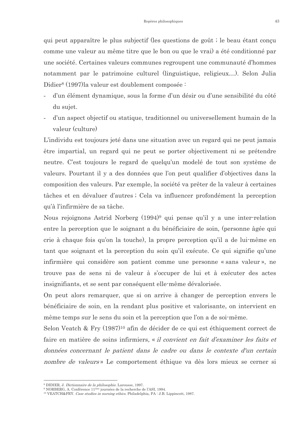qui peut apparaître le plus subjectif (les questions de goût; le beau étant conçu comme une valeur au même titre que le bon ou que le vrai) a été conditionné par une société. Certaines valeurs communes regroupent une communauté d'hommes notamment par le patrimoine culturel (linguistique, religieux...). Selon Julia Didier<sup>8</sup> (1997) la valeur est doublement composée :

- d'un élément dynamique, sous la forme d'un désir ou d'une sensibilité du côté du sujet.
- d'un aspect objectif ou statique, traditionnel ou universellement humain de la  $\blacksquare$ valeur (culture)

L'individu est toujours jeté dans une situation avec un regard qui ne peut jamais être impartial, un regard qui ne peut se porter objectivement ni se prétendre neutre. C'est toujours le regard de quelqu'un modelé de tout son système de valeurs. Pourtant il y a des données que l'on peut qualifier d'objectives dans la composition des valeurs. Par exemple, la société va prêter de la valeur à certaines tâches et en dévaluer d'autres; Cela va influencer profondément la perception qu'à l'infirmière de sa tâche.

Nous rejoignons Astrid Norberg (1994)<sup>9</sup> qui pense qu'il y a une inter-relation entre la perception que le soignant a du bénéficiaire de soin, (personne âgée qui crie à chaque fois qu'on la touche), la propre perception qu'il a de lui-même en tant que soignant et la perception du soin qu'il exécute. Ce qui signifie qu'une infirmière qui considère son patient comme une personne « sans valeur », ne trouve pas de sens ni de valeur à s'occuper de lui et à exécuter des actes insignifiants, et se sent par conséquent elle-même dévalorisée.

On peut alors remarquer, que si on arrive à changer de perception envers le bénéficiaire de soin, en la rendant plus positive et valorisante, on intervient en même temps sur le sens du soin et la perception que l'on a de soi-même.

Selon Veatch & Fry (1987)<sup>10</sup> afin de décider de ce qui est éthiquement correct de faire en matière de soins infirmiers, « *il convient en fait d'examiner les faits et* données concernant le patient dans le cadre ou dans le contexte d'un certain nombre de valeurs» Le comportement éthique va dès lors mieux se cerner si

<sup>&</sup>lt;sup>8</sup> DIDIER, J. Dictionnaire de la philosophie. Larousse, 1997.

<sup>&</sup>lt;sup>9</sup> NORBERG, A. Conférence 11<sup>ème</sup> journées de la recherche de l'ASI, 1994.

<sup>&</sup>lt;sup>10</sup> VEATCH&FRY. Case studies in nursing ethics. Philadelphia, PA : J.B. Lippincott, 1987.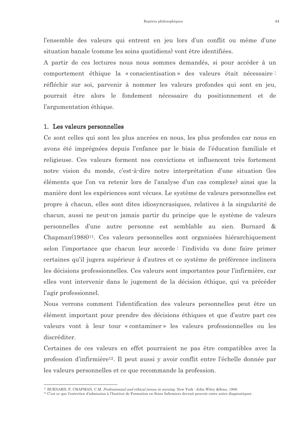l'ensemble des valeurs qui entrent en jeu lors d'un conflit ou même d'une situation banale (comme les soins quotidiens) vont être identifiées.

A partir de ces lectures nous nous sommes demandés, si pour accéder à un comportement éthique la « conscientisation » des valeurs était nécessaire : réfléchir sur soi, parvenir à nommer les valeurs profondes qui sont en jeu, pourrait être alors le fondement nécessaire du positionnement et de l'argumentation éthique.

#### 1. Les valeurs personnelles

Ce sont celles qui sont les plus ancrées en nous, les plus profondes car nous en avons été imprégnées depuis l'enfance par le biais de l'éducation familiale et religieuse. Ces valeurs forment nos convictions et influencent très fortement notre vision du monde, c'est-à-dire notre interprétation d'une situation (les éléments que l'on va retenir lors de l'analyse d'un cas complexe) ainsi que la manière dont les expériences sont vécues. Le système de valeurs personnelles est propre à chacun, elles sont dites idiosyncrasiques, relatives à la singularité de chacun, aussi ne peut-on jamais partir du principe que le système de valeurs personnelles d'une autre personne est semblable au sien. Burnard & Chapman(1988)<sup>11</sup>. Ces valeurs personnelles sont organisées hiérarchiquement selon l'importance que chacun leur accorde: l'individu va donc faire primer certaines qu'il jugera supérieur à d'autres et ce système de préférence inclinera les décisions professionnelles. Ces valeurs sont importantes pour l'infirmière, car elles vont intervenir dans le jugement de la décision éthique, qui va précéder l'agir professionnel.

Nous verrons comment l'identification des valeurs personnelles peut être un élément important pour prendre des décisions éthiques et que d'autre part ces valeurs vont à leur tour « contaminer » les valeurs professionnelles ou les discréditer.

Certaines de ces valeurs en effet pourraient ne pas être compatibles avec la profession d'infirmière<sup>12</sup>. Il peut aussi y avoir conflit entre l'échelle donnée par les valeurs personnelles et ce que recommande la profession.

<sup>&</sup>lt;sup>11</sup> BURNARD, P. CHAPMAN, C.M. *Professionnal and ethical issues in nursing*. New York: John Wiley &Sons, 1988.

 $12$  C'est ce que l'entretien d'admission à l'Institut de Formation en Soins Infirmiers devrait pouvoir entre autre diagnostiquer.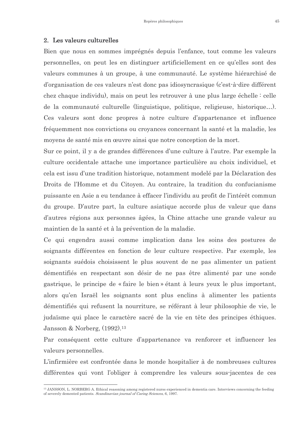#### 2. Les valeurs culturelles

Bien que nous en sommes imprégnés depuis l'enfance, tout comme les valeurs personnelles, on peut les en distinguer artificiellement en ce qu'elles sont des valeurs communes à un groupe, à une communauté. Le système hiérarchisé de d'organisation de ces valeurs n'est donc pas idiosyncrasique (c'est-à-dire différent chez chaque individu), mais on peut les retrouver à une plus large échelle : celle de la communauté culturelle (linguistique, politique, religieuse, historique...). Ces valeurs sont donc propres à notre culture d'appartenance et influence fréquemment nos convictions ou croyances concernant la santé et la maladie, les moyens de santé mis en œuvre ainsi que notre conception de la mort.

Sur ce point, il y a de grandes différences d'une culture à l'autre. Par exemple la culture occidentale attache une importance particulière au choix individuel, et cela est issu d'une tradition historique, notamment modelé par la Déclaration des Droits de l'Homme et du Citoyen. Au contraire, la tradition du confucianisme puissante en Asie a eu tendance à effacer l'individu au profit de l'intérêt commun du groupe. D'autre part, la culture asiatique accorde plus de valeur que dans d'autres régions aux personnes âgées, la Chine attache une grande valeur au maintien de la santé et à la prévention de la maladie.

Ce qui engendra aussi comme implication dans les soins des postures de soignants différentes en fonction de leur culture respective. Par exemple, les soignants suédois choisissent le plus souvent de ne pas alimenter un patient démentifiés en respectant son désir de ne pas être alimenté par une sonde gastrique, le principe de « faire le bien » étant à leurs yeux le plus important, alors qu'en Israël les soignants sont plus enclins à alimenter les patients démentifiés qui refusent la nourriture, se référant à leur philosophie de vie, le judaïsme qui place le caractère sacré de la vie en tête des principes éthiques. Jansson & Norberg. (1992).<sup>13</sup>

Par conséquent cette culture d'appartenance va renforcer et influencer les valeurs personnelles.

L'infirmière est confrontée dans le monde hospitalier à de nombreuses cultures différentes qui vont l'obliger à comprendre les valeurs sous-jacentes de ces

<sup>&</sup>lt;sup>13</sup> JANSSON, L. NORBERG A. Ethical reasoning among registered nurss experienced in dementia care. Interviews concerning the feeding of severely demented patients. Scandinavian journal of Caring Sciences, 6, 1997.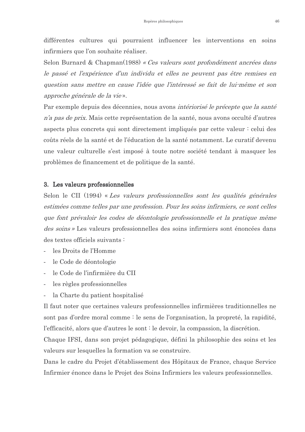différentes cultures qui pourraient influencer les interventions en soins infirmiers que l'on souhaite réaliser.

Selon Burnard & Chapman(1988) « Ces valeurs sont profondément ancrées dans le passé et l'expérience d'un individu et elles ne peuvent pas être remises en question sans mettre en cause l'idée que l'intéressé se fait de lui-même et son approche générale de la vie».

Par exemple depuis des décennies, nous avons *intériorisé le précepte que la santé* n'a pas de prix. Mais cette représentation de la santé, nous avons occulté d'autres aspects plus concrets qui sont directement impliqués par cette valeur : celui des coûts réels de la santé et de l'éducation de la santé notamment. Le curatif devenu une valeur culturelle s'est imposé à toute notre société tendant à masquer les problèmes de financement et de politique de la santé.

#### 3. Les valeurs professionnelles

Selon le CII (1994) « Les valeurs professionnelles sont les qualités générales estimées comme telles par une profession. Pour les soins infirmiers, ce sont celles que font prévaloir les codes de déontologie professionnelle et la pratique même des soins » Les valeurs professionnelles des soins infirmiers sont énoncées dans des textes officiels suivants :

- les Droits de l'Homme
- le Code de déontologie
- le Code de l'infirmière du CII
- les règles professionnelles
- la Charte du patient hospitalisé

Il faut noter que certaines valeurs professionnelles infirmières traditionnelles ne sont pas d'ordre moral comme : le sens de l'organisation, la propreté, la rapidité, l'efficacité, alors que d'autres le sont : le devoir, la compassion, la discrétion.

Chaque IFSI, dans son projet pédagogique, défini la philosophie des soins et les valeurs sur lesquelles la formation va se construire.

Dans le cadre du Projet d'établissement des Hôpitaux de France, chaque Service Infirmier énonce dans le Projet des Soins Infirmiers les valeurs professionnelles.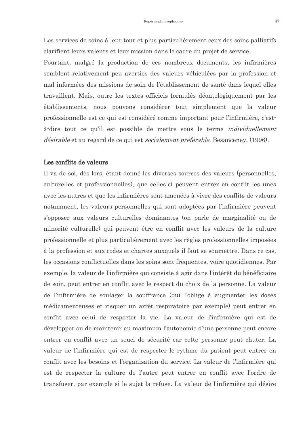Les services de soins à leur tour et plus particulièrement ceux des soins palliatifs clarifient leurs valeurs et leur mission dans le cadre du projet de service.

Pourtant, malgré la production de ces nombreux documents, les infirmières semblent relativement peu averties des valeurs véhiculées par la profession et mal informées des missions de soin de l'établissement de santé dans lequel elles travaillent. Mais, outre les textes officiels formulés déontologiquement par les établissements, nous pouvons considérer tout simplement que la valeur professionnelle est ce qui est considéré comme important pour l'infirmière, c'està-dire tout ce qu'il est possible de mettre sous le terme individuellement *désirable* et au regard de ce qui est *socialement préférable*. Besanceney, (1996).

#### Les conflits de valeurs

Il va de soi, dès lors, étant donné les diverses sources des valeurs (personnelles, culturelles et professionnelles), que celles-ci peuvent entrer en conflit les unes avec les autres et que les infirmières sont amenées à vivre des conflits de valeurs notamment, les valeurs personnelles qui sont adoptées par l'infirmière peuvent s'opposer aux valeurs culturelles dominantes (on parle de marginalité ou de minorité culturelle) qui peuvent être en conflit avec les valeurs de la culture professionnelle et plus particulièrement avec les règles professionnelles imposées à la profession et aux codes et chartes auxquels il faut se soumettre. Dans ce cas, les occasions conflictuelles dans les soins sont fréquentes, voire quotidiennes. Par exemple, la valeur de l'infirmière qui consiste à agir dans l'intérêt du bénéficiaire de soin, peut entrer en conflit avec le respect du choix de la personne. La valeur de l'infirmière de soulager la souffrance (qui l'oblige à augmenter les doses médicamenteuses et risquer un arrêt respiratoire par exemple) peut entrer en conflit avec celui de respecter la vie. La valeur de l'infirmière qui est de développer ou de maintenir au maximum l'autonomie d'une personne peut encore entrer en conflit avec un souci de sécurité car cette personne peut chuter. La valeur de l'infirmière qui est de respecter le rythme du patient peut entrer en conflit avec les besoins et l'organisation du service. La valeur de l'infirmière qui est de respecter la culture de l'autre peut entrer en conflit avec l'ordre de transfuser, par exemple si le sujet la refuse. La valeur de l'infirmière qui désire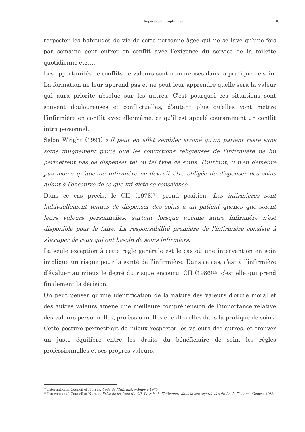respecter les habitudes de vie de cette personne âgée qui ne se lave qu'une fois par semaine peut entrer en conflit avec l'exigence du service de la toilette quotidienne etc....

Les opportunités de conflits de valeurs sont nombreuses dans la pratique de soin. La formation ne leur apprend pas et ne peut leur apprendre quelle sera la valeur qui aura priorité absolue sur les autres. C'est pourquoi ces situations sont souvent douloureuses et conflictuelles, d'autant plus qu'elles vont mettre l'infirmière en conflit avec elle-même, ce qu'il est appelé couramment un conflit intra personnel.

Selon Wright (1991) « il peut en effet sembler erroné qu'un patient reste sans soins uniquement parce que les convictions religieuses de l'infirmière ne lui permettent pas de dispenser tel ou tel type de soins. Pourtant, il n'en demeure pas moins qu'aucune infirmière ne devrait être obligée de dispenser des soins allant à l'encontre de ce que lui dicte sa conscience.

Dans ce cas précis, le CII (1973)<sup>14</sup> prend position. Les *infirmières sont* habituellement tenues de dispenser des soins à un patient quelles que soient leurs valeurs personnelles, surtout lorsque aucune autre infirmière n'est disponible pour le faire. La responsabilité première de l'infirmière consiste à s'occuper de ceux qui ont besoin de soins infirmiers.

La seule exception à cette règle générale est le cas où une intervention en soin implique un risque pour la santé de l'infirmière. Dans ce cas, c'est à l'infirmière d'évaluer au mieux le degré du risque encouru. CII (1986)<sup>15</sup>, c'est elle qui prend finalement la décision.

On peut penser qu'une identification de la nature des valeurs d'ordre moral et des autres valeurs amène une meilleure compréhension de l'importance relative des valeurs personnelles, professionnelles et culturelles dans la pratique de soins. Cette posture permettrait de mieux respecter les valeurs des autres, et trouver un juste équilibre entre les droits du bénéficiaire de soin, les règles professionnelles et ses propres valeurs.

<sup>&</sup>lt;sup>14</sup> International Council of Nurses. *Code de l'Infirmière* Genève 1973

<sup>&</sup>lt;sup>15</sup> International Council of Nurses, Prise de position du CII. Le rôle de l'infirmière dans la sauvegarde des droits de l'homme. Genève 1986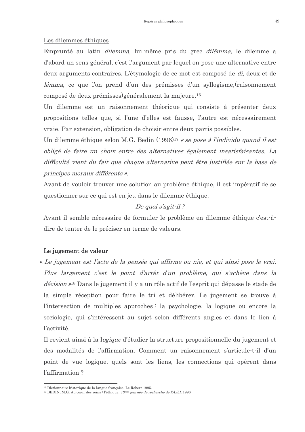#### Les dilemmes éthiques

Emprunté au latin *dilemma*, lui-même pris du grec *dilêmma*, le dilemme a d'abord un sens général, c'est l'argument par lequel on pose une alternative entre deux arguments contraires. L'étymologie de ce mot est composé de *di*, deux et de lêmma, ce que l'on prend d'un des prémisses d'un syllogisme, (raisonnement composé de deux prémisses) généralement la majeure.<sup>16</sup>

Un dilemme est un raisonnement théorique qui consiste à présenter deux propositions telles que, si l'une d'elles est fausse, l'autre est nécessairement vraie. Par extension, obligation de choisir entre deux partis possibles.

Un dilemme éthique selon M.G. Bedin (1996)<sup>17</sup> « se pose à l'individu quand il est obligé de faire un choix entre des alternatives également insatisfaisantes. La difficulté vient du fait que chaque alternative peut être justifiée sur la base de principes moraux différents ».

Avant de vouloir trouver une solution au problème éthique, il est impératif de se questionner sur ce qui est en jeu dans le dilemme éthique.

# De quoi s'agit-il?

Avant il semble nécessaire de formuler le problème en dilemme éthique c'est-àdire de tenter de le préciser en terme de valeurs.

## Le jugement de valeur

« Le jugement est l'acte de la pensée qui affirme ou nie, et qui ainsi pose le vrai. Plus largement c'est le point d'arrêt d'un problème, qui s'achève dans la *décision* »<sup>18</sup> Dans le jugement il y a un rôle actif de l'esprit qui dépasse le stade de la simple réception pour faire le tri et délibérer. Le jugement se trouve à l'intersection de multiples approches : la psychologie, la logique ou encore la sociologie, qui s'intéressent au sujet selon différents angles et dans le lien à l'activité.

Il revient ainsi à la logique d'étudier la structure propositionnelle du jugement et des modalités de l'affirmation. Comment un raisonnement s'articule-t-il d'un point de vue logique, quels sont les liens, les connections qui opèrent dans l'affirmation?

<sup>&</sup>lt;sup>16</sup> Dictionnaire historique de la langue française. Le Robert 1995.

<sup>&</sup>lt;sup>17</sup> BEDIN, M.G. Au cœur des soins : l'éthique. 13<sup>ème</sup> journée de recherche de l'A.S.I, 1996.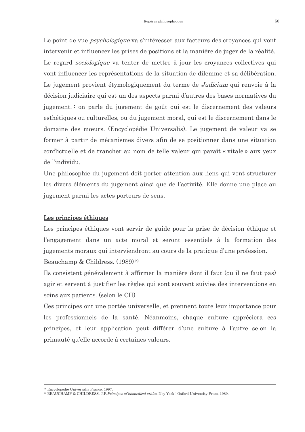Le point de vue *psychologique* va s'intéresser aux facteurs des croyances qui vont intervenir et influencer les prises de positions et la manière de juger de la réalité. Le regard *sociologique* va tenter de mettre à jour les croyances collectives qui vont influencer les représentations de la situation de dilemme et sa délibération. Le jugement provient étymologiquement du terme de *Judicium* qui renvoie à la décision judiciaire qui est un des aspects parmi d'autres des bases normatives du jugement. : on parle du jugement de goût qui est le discernement des valeurs esthétiques ou culturelles, ou du jugement moral, qui est le discernement dans le domaine des mœurs. (Encyclopédie Universalis). Le jugement de valeur va se former à partir de mécanismes divers afin de se positionner dans une situation conflictuelle et de trancher au nom de telle valeur qui paraît « vitale » aux yeux de l'individu.

Une philosophie du jugement doit porter attention aux liens qui vont structurer les divers éléments du jugement ainsi que de l'activité. Elle donne une place au jugement parmi les actes porteurs de sens.

#### Les principes éthiques

Les principes éthiques vont servir de guide pour la prise de décision éthique et l'engagement dans un acte moral et seront essentiels à la formation des jugements moraux qui interviendront au cours de la pratique d'une profession. Beauchamp & Childress. (1989)<sup>19</sup>

Ils consistent généralement à affirmer la manière dont il faut (ou il ne faut pas) agir et servent à justifier les règles qui sont souvent suivies des interventions en soins aux patients. (selon le CII)

Ces principes ont une portée universelle, et prennent toute leur importance pour les professionnels de la santé. Néanmoins, chaque culture appréciera ces principes, et leur application peut différer d'une culture à l'autre selon la primauté qu'elle accorde à certaines valeurs.

<sup>&</sup>lt;sup>18</sup> Encyclopédie Universalis France 1997

<sup>&</sup>lt;sup>19</sup> BEAUCHAMP & CHILDRESS, J.F. Principes of biomedical ethics. Nev York: Oxford University Press, 1989.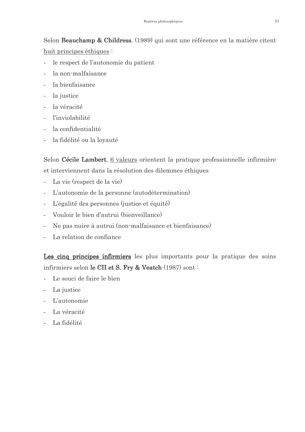Selon Beauchamp & Childress. (1989) qui sont une référence en la matière citent huit principes éthiques:

- le respect de l'autonomie du patient  $\mathbf{r}$
- la non-malfaisance
- la bienfaisance
- la justice
- la véracité  $\sim$
- l'inviolabilité
- la confidentialité
- la fidélité ou la loyauté

Selon Cécile Lambert, 6 valeurs orientent la pratique professionnelle infirmière et interviennent dans la résolution des dilemmes éthiques

- La vie (respect de la vie)
- L'autonomie de la personne (autodétermination)
- L'égalité des personnes (justice et équité)  $\overline{a}$
- Vouloir le bien d'autrui (bienveillance)
- Ne pas nuire à autrui (non-malfaisance et bienfaisance)
- La relation de confiance

Les cinq principes infirmiers les plus importants pour la pratique des soins infirmiers selon le CII et S. Fry & Veatch (1987) sont :

- Le souci de faire le bien
- La justice  $\sim$
- L'autonomie
- La véracité  $\mathbf{r}$
- La fidélité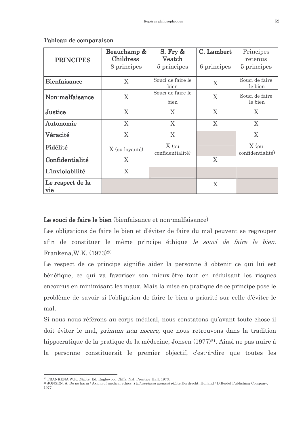|                  | Beauchamp &      | $S.$ Fry $\&$     | C. Lambert     | Principes        |
|------------------|------------------|-------------------|----------------|------------------|
|                  | <b>Childress</b> | Veatch            |                | retenus          |
| <b>PRINCIPES</b> |                  |                   |                |                  |
|                  | 8 principes      | 5 principes       | 6 principes    | 5 principes      |
|                  |                  |                   |                |                  |
| Bienfaisance     | X                | Souci de faire le |                | Souci de faire   |
|                  |                  | bien              | $\overline{X}$ | le bien          |
|                  |                  | Souci de faire le |                |                  |
| Non-malfaisance  | X                |                   | X              | Souci de faire   |
|                  |                  | bien              |                | le bien          |
|                  |                  |                   |                |                  |
| Justice          | X                | X                 | X              | X                |
|                  |                  |                   |                |                  |
| Autonomie        | X                | X                 | X              | X                |
|                  |                  |                   |                |                  |
| Véracité         | X                | X                 |                | X                |
|                  |                  |                   |                |                  |
| Fidélité         |                  | $X$ (ou           |                | $X$ (ou          |
|                  | X (ou loyauté)   | confidentialité)  |                | confidentialité) |
| Confidentialité  | X                |                   | X              |                  |
|                  |                  |                   |                |                  |
| L'inviolabilité  | X                |                   |                |                  |
|                  |                  |                   |                |                  |
| Le respect de la |                  |                   |                |                  |
|                  |                  |                   | X              |                  |
| vie              |                  |                   |                |                  |

#### Tableau de comparaison

### Le souci de faire le bien (bienfaisance et non-malfaisance)

Les obligations de faire le bien et d'éviter de faire du mal peuvent se regrouper afin de constituer le même principe éthique le souci de faire le bien. Frankena, W.K. (1973)<sup>20</sup>

Le respect de ce principe signifie aider la personne à obtenir ce qui lui est bénéfique, ce qui va favoriser son mieux-être tout en réduisant les risques encourus en minimisant les maux. Mais la mise en pratique de ce principe pose le problème de savoir si l'obligation de faire le bien a priorité sur celle d'éviter le  $m<sub>3</sub>$ 

Si nous nous référons au corps médical, nous constatons qu'avant toute chose il doit éviter le mal, *primum non nocere*, que nous retrouvons dans la tradition hippocratique de la pratique de la médecine, Jonsen (1977)<sup>21</sup>. Ainsi ne pas nuire à la personne constituerait le premier objectif, c'est-à-dire que toutes les

<sup>&</sup>lt;sup>20</sup> FRANKENA, W.K. *Ethics*. Ed. Englewood Cliffs, N.J. Prentice-Hall, 1973.

<sup>&</sup>lt;sup>21</sup> JONSEN, A. Do no harm: Axiom of medical ethics. *Philosophical medical ethics*.Dordrecht, Holland: D.Reidel Publishing Company, 1977.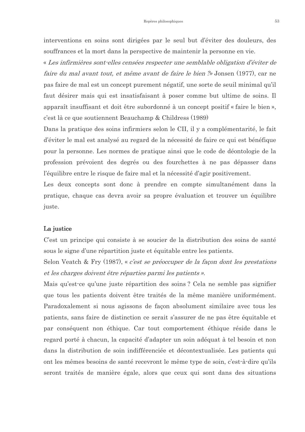interventions en soins sont dirigées par le seul but d'éviter des douleurs, des souffrances et la mort dans la perspective de maintenir la personne en vie.

« Les infirmières sont-elles censées respecter une semblable obligation d'éviter de faire du mal avant tout, et même avant de faire le bien ?» Jonsen (1977), car ne pas faire de mal est un concept purement négatif, une sorte de seuil minimal qu'il faut désirer mais qui est insatisfaisant à poser comme but ultime de soins. Il apparaît insuffisant et doit être subordonné à un concept positif « faire le bien », c'est là ce que soutiennent Beauchamp & Childress (1989)

Dans la pratique des soins infirmiers selon le CII, il y a complémentarité, le fait d'éviter le mal est analysé au regard de la nécessité de faire ce qui est bénéfique pour la personne. Les normes de pratique ainsi que le code de déontologie de la profession prévoient des degrés ou des fourchettes à ne pas dépasser dans l'équilibre entre le risque de faire mal et la nécessité d'agir positivement.

Les deux concepts sont donc à prendre en compte simultanément dans la pratique, chaque cas devra avoir sa propre évaluation et trouver un équilibre juste.

#### La justice

C'est un principe qui consiste à se soucier de la distribution des soins de santé sous le signe d'une répartition juste et équitable entre les patients.

Selon Veatch & Fry (1987), « c'est se préoccuper de la façon dont les prestations et les charges doivent être réparties parmi les patients ».

Mais qu'est-ce qu'une juste répartition des soins? Cela ne semble pas signifier que tous les patients doivent être traités de la même manière uniformément. Paradoxalement si nous agissons de facon absolument similaire avec tous les patients, sans faire de distinction ce serait s'assurer de ne pas être équitable et par conséquent non éthique. Car tout comportement éthique réside dans le regard porté à chacun, la capacité d'adapter un soin adéquat à tel besoin et non dans la distribution de soin indifférenciée et décontextualisée. Les patients qui ont les mêmes besoins de santé recevront le même type de soin, c'est-à-dire qu'ils seront traités de manière égale, alors que ceux qui sont dans des situations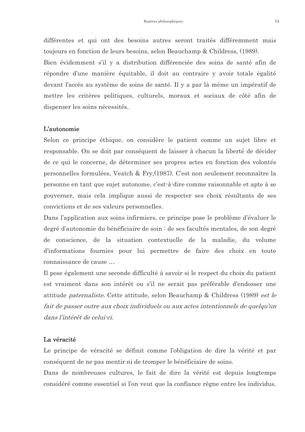différentes et qui ont des besoins autres seront traités différemment mais toujours en fonction de leurs besoins, selon Beauchamp & Childress, (1989).

Bien évidemment s'il y a distribution différenciée des soins de santé afin de répondre d'une manière équitable, il doit au contraire y avoir totale égalité devant l'accès au système de soins de santé. Il y a par là même un impératif de mettre les critères politiques, culturels, moraux et sociaux de côté afin de dispenser les soins nécessités.

#### **L'autonomie**

Selon ce principe éthique, on considère le patient comme un sujet libre et responsable. On se doit par conséquent de laisser à chacun la liberté de décider de ce qui le concerne, de déterminer ses propres actes en fonction des volontés personnelles formulées, Veatch & Fry, (1987). C'est non seulement reconnaître la personne en tant que sujet autonome, c'est-à-dire comme raisonnable et apte à se gouverner, mais cela implique aussi de respecter ses choix résultants de ses convictions et de ses valeurs personnelles.

Dans l'application aux soins infirmiers, ce principe pose le problème d'évaluer le degré d'autonomie du bénéficiaire de soin : de ses facultés mentales, de son degré de conscience, de la situation contextuelle de la maladie, du volume d'informations fournies pour lui permettre de faire des choix en toute connaissance de cause ...

Il pose également une seconde difficulté à savoir si le respect du choix du patient est vraiment dans son intérêt ou s'il ne serait pas préférable d'endosser une attitude *paternaliste*. Cette attitude, selon Beauchamp & Childress (1989) *est le* fait de passer outre aux choix individuels ou aux actes intentionnels de quelqu'un dans l'intérêt de celui-ci.

#### La véracité

Le principe de véracité se définit comme l'obligation de dire la vérité et par conséquent de ne pas mentir ni de tromper le bénéficiaire de soins.

Dans de nombreuses cultures, le fait de dire la vérité est depuis longtemps considéré comme essentiel si l'on veut que la confiance règne entre les individus.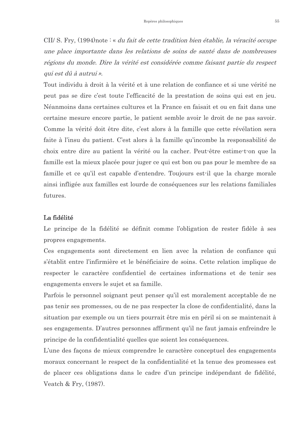CII/ S. Fry. (1994)note : « *du fait de cette tradition bien établie*. *la véracité occupe* une place importante dans les relations de soins de santé dans de nombreuses régions du monde. Dire la vérité est considérée comme faisant partie du respect qui est dû à autrui ».

Tout individu à droit à la vérité et à une relation de confiance et si une vérité ne peut pas se dire c'est toute l'efficacité de la prestation de soins qui est en jeu. Néanmoins dans certaines cultures et la France en faisait et ou en fait dans une certaine mesure encore partie, le patient semble avoir le droit de ne pas savoir. Comme la vérité doit être dite, c'est alors à la famille que cette révélation sera faite à l'insu du patient. C'est alors à la famille qu'incombe la responsabilité de choix entre dire au patient la vérité ou la cacher. Peut-être estime-t-on que la famille est la mieux placée pour juger ce qui est bon ou pas pour le membre de sa famille et ce qu'il est capable d'entendre. Toujours est-il que la charge morale ainsi infligée aux familles est lourde de conséquences sur les relations familiales futures.

#### La fidélité

Le principe de la fidélité se définit comme l'obligation de rester fidèle à ses propres engagements.

Ces engagements sont directement en lien avec la relation de confiance qui s'établit entre l'infirmière et le bénéficiaire de soins. Cette relation implique de respecter le caractère confidentiel de certaines informations et de tenir ses engagements envers le sujet et sa famille.

Parfois le personnel soignant peut penser qu'il est moralement acceptable de ne pas tenir ses promesses, ou de ne pas respecter la close de confidentialité, dans la situation par exemple ou un tiers pourrait être mis en péril si on se maintenait à ses engagements. D'autres personnes affirment qu'il ne faut jamais enfreindre le principe de la confidentialité quelles que soient les conséquences.

L'une des facons de mieux comprendre le caractère conceptuel des engagements moraux concernant le respect de la confidentialité et la tenue des promesses est de placer ces obligations dans le cadre d'un principe indépendant de fidélité, Veatch & Fry, (1987).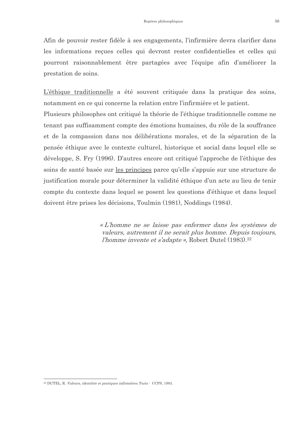Afin de pouvoir rester fidèle à ses engagements, l'infirmière devra clarifier dans les informations reçues celles qui devront rester confidentielles et celles qui pourront raisonnablement être partagées avec l'équipe afin d'améliorer la prestation de soins.

L'éthique traditionnelle a été souvent critiquée dans la pratique des soins, notamment en ce qui concerne la relation entre l'infirmière et le patient. Plusieurs philosophes ont critiqué la théorie de l'éthique traditionnelle comme ne tenant pas suffisamment compte des émotions humaines, du rôle de la souffrance et de la compassion dans nos délibérations morales, et de la séparation de la pensée éthique avec le contexte culturel, historique et social dans lequel elle se développe, S. Fry (1996). D'autres encore ont critiqué l'approche de l'éthique des soins de santé basée sur les principes parce qu'elle s'appuie sur une structure de justification morale pour déterminer la validité éthique d'un acte au lieu de tenir compte du contexte dans lequel se posent les questions d'éthique et dans lequel doivent être prises les décisions, Toulmin (1981), Noddings (1984).

> « L'homme ne se laisse pas enfermer dans les systèmes de valeurs, autrement il ne serait plus homme. Depuis toujours, *l'homme invente et s'adapte* », Robert Dutel (1983).<sup>22</sup>

<sup>&</sup>lt;sup>22</sup> DUTEL, R. *Valeurs, identités et pratiques infirmières*. Paris : CCPS, 1983.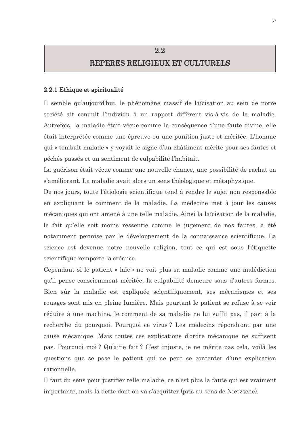# $2.2$ REPERES RELIGIEUX ET CULTURELS

#### 2.2.1 Ethique et spiritualité

Il semble qu'aujourd'hui, le phénomène massif de laïcisation au sein de notre société ait conduit l'individu à un rapport différent vis-à-vis de la maladie. Autrefois, la maladie était vécue comme la conséquence d'une faute divine, elle était interprétée comme une épreuve ou une punition juste et méritée. L'homme qui « tombait malade » y voyait le signe d'un châtiment mérité pour ses fautes et péchés passés et un sentiment de culpabilité l'habitait.

La guérison était vécue comme une nouvelle chance, une possibilité de rachat en s'améliorant. La maladie avait alors un sens théologique et métaphysique.

De nos jours, toute l'étiologie scientifique tend à rendre le sujet non responsable en expliquant le comment de la maladie. La médecine met à jour les causes mécaniques qui ont amené à une telle maladie. Ainsi la laïcisation de la maladie, le fait qu'elle soit moins ressentie comme le jugement de nos fautes, a été notamment permise par le développement de la connaissance scientifique. La science est devenue notre nouvelle religion, tout ce qui est sous l'étiquette scientifique remporte la créance.

Cependant si le patient « laïc » ne voit plus sa maladie comme une malédiction qu'il pense consciemment méritée, la culpabilité demeure sous d'autres formes. Bien sûr la maladie est expliquée scientifiquement, ses mécanismes et ses rouages sont mis en pleine lumière. Mais pourtant le patient se refuse à se voir réduire à une machine, le comment de sa maladie ne lui suffit pas, il part à la recherche du pourquoi. Pourquoi ce virus? Les médecins répondront par une cause mécanique. Mais toutes ces explications d'ordre mécanique ne suffisent pas. Pourquoi moi ? Qu'ai-je fait ? C'est injuste, je ne mérite pas cela, voilà les questions que se pose le patient qui ne peut se contenter d'une explication rationnelle.

Il faut du sens pour justifier telle maladie, ce n'est plus la faute qui est vraiment importante, mais la dette dont on va s'acquitter (pris au sens de Nietzsche).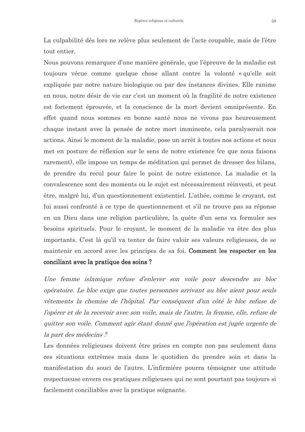La culpabilité dès lors ne relève plus seulement de l'acte coupable, mais de l'être tout entier.

Nous pouvons remarquer d'une manière générale, que l'épreuve de la maladie est toujours vécue comme quelque chose allant contre la volonté « qu'elle soit expliquée par notre nature biologique ou par des instances divines. Elle ranime en nous, notre désir de vie car c'est un moment où la fragilité de notre existence est fortement éprouvée, et la conscience de la mort devient omniprésente. En effet quand nous sommes en bonne santé nous ne vivons pas heureusement chaque instant avec la pensée de notre mort imminente, cela paralyserait nos actions. Ainsi le moment de la maladie, pose un arrêt à toutes nos actions et nous met en posture de réflexion sur le sens de notre existence (ce que nous faisons rarement), elle impose un temps de méditation qui permet de dresser des bilans, de prendre du recul pour faire le point de notre existence. La maladie et la convalescence sont des moments ou le sujet est nécessairement réinvesti, et peut être, malgré lui, d'un questionnement existentiel. L'athée, comme le croyant, est lui aussi confronté à ce type de questionnement et s'il ne trouve pas sa réponse en un Dieu dans une religion particulière, la quête d'un sens va formuler ses besoins spirituels. Pour le croyant, le moment de la maladie va être des plus importants. C'est là qu'il va tenter de faire valoir ses valeurs religieuses, de se maintenir en accord avec les principes de sa foi. Comment les respecter en les conciliant avec la pratique des soins?

Une femme islamique refuse d'enlever son voile pour descendre au bloc opératoire. Le bloc exige que toutes personnes arrivant au bloc aient pour seuls vêtements la chemise de l'hôpital. Par conséquent d'un côté le bloc refuse de l'opérer et de la recevoir avec son voile, mais de l'autre, la femme, elle, refuse de quitter son voile. Comment agir étant donné que l'opération est jugée urgente de la part des médecins ?

Les données religieuses doivent être prises en compte non pas seulement dans ces situations extrêmes mais dans le quotidien du prendre soin et dans la manifestation du souci de l'autre. L'infirmière pourra témoigner une attitude respectueuse envers ces pratiques religieuses qui ne sont pourtant pas toujours si facilement conciliables avec la pratique soignante.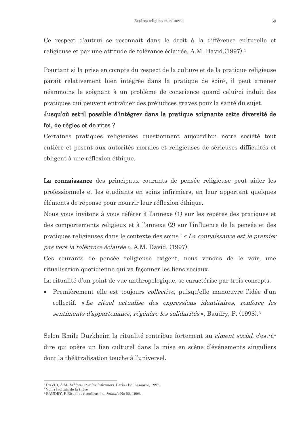Ce respect d'autrui se reconnaît dans le droit à la différence culturelle et religieuse et par une attitude de tolérance éclairée, A.M. David, (1997).<sup>1</sup>

Pourtant si la prise en compte du respect de la culture et de la pratique religieuse paraît relativement bien intégrée dans la pratique de soin<sup>2</sup>, il peut amener néanmoins le soignant à un problème de conscience quand celui-ci induit des pratiques qui peuvent entraîner des préjudices graves pour la santé du sujet.

# Jusqu'où est-il possible d'intégrer dans la pratique soignante cette diversité de foi, de règles et de rites?

Certaines pratiques religieuses questionnent aujourd'hui notre société tout entière et posent aux autorités morales et religieuses de sérieuses difficultés et obligent à une réflexion éthique.

La connaissance des principaux courants de pensée religieuse peut aider les professionnels et les étudiants en soins infirmiers, en leur apportant quelques éléments de réponse pour nourrir leur réflexion éthique.

Nous vous invitons à vous référer à l'annexe (1) sur les repères des pratiques et des comportements religieux et à l'annexe (2) sur l'influence de la pensée et des pratiques religieuses dans le contexte des soins : « La connaissance est le premier pas vers la tolérance éclairée », A.M. David, (1997).

Ces courants de pensée religieuse exigent, nous venons de le voir, une ritualisation quotidienne qui va façonner les liens sociaux.

La ritualité d'un point de vue anthropologique, se caractérise par trois concepts.

Premièrement elle est toujours *collective*, puisqu'elle manœuvre l'idée d'un collectif. «Le rituel actualise des expressions identitaires, renforce les sentiments d'appartenance, régénère les solidarités», Baudry, P. (1998).<sup>3</sup>

Selon Emile Durkheim la ritualité contribue fortement au *ciment social*, c'est-àdire qui opère un lien culturel dans la mise en scène d'événements singuliers dont la théâtralisation touche à l'universel.

<sup>&</sup>lt;sup>1</sup> DAVID, A.M. *Ethique et soins infirmiers*. Paris : Ed. Lamarre, 1997.

<sup>&</sup>lt;sup>2</sup> Voir résultats de la thèse

<sup>&</sup>lt;sup>3</sup> BAUDRY, P.Rituel et ritualisation. Jalmalv No 52, 1998.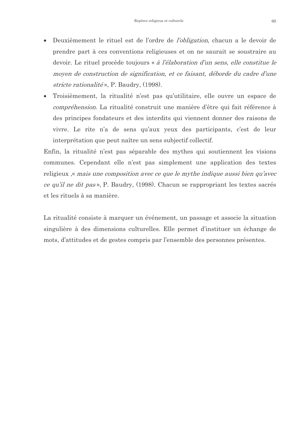- Deuxièmement le rituel est de l'ordre de *l'obligation*, chacun a le devoir de  $\bullet$ prendre part à ces conventions religieuses et on ne saurait se soustraire au devoir. Le rituel procède toujours « à l'élaboration d'un sens, elle constitue le moyen de construction de signification, et ce faisant, déborde du cadre d'une stricte rationalité», P. Baudry,  $(1998)$ .
- Troisièmement, la ritualité n'est pas qu'utilitaire, elle ouvre un espace de *compréhension*. La ritualité construit une manière d'être qui fait référence à des principes fondateurs et des interdits qui viennent donner des raisons de vivre. Le rite n'a de sens qu'aux yeux des participants, c'est de leur interprétation que peut naître un sens subjectif collectif.

Enfin, la ritualité n'est pas séparable des mythes qui soutiennent les visions communes. Cependant elle n'est pas simplement une application des textes religieux, *mais une composition avec ce que le mythe indique aussi bien qu'avec* ce qu'il ne dit pas», P. Baudry, (1998). Chacun se rappropriant les textes sacrés et les rituels à sa manière.

La ritualité consiste à marquer un événement, un passage et associe la situation singulière à des dimensions culturelles. Elle permet d'instituer un échange de mots, d'attitudes et de gestes compris par l'ensemble des personnes présentes.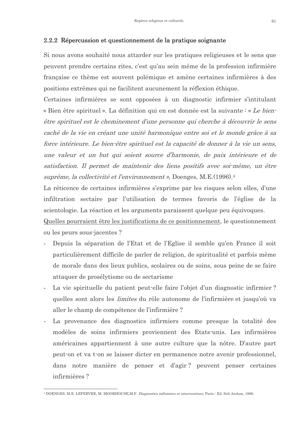# 2.2.2 Répercussion et questionnement de la pratique soignante

Si nous avons souhaité nous attarder sur les pratiques religieuses et le sens que peuvent prendre certains rites, c'est qu'au sein même de la profession infirmière française ce thème est souvent polémique et amène certaines infirmières à des positions extrêmes qui ne facilitent aucunement la réflexion éthique.

Certaines infirmières se sont opposées à un diagnostic infirmier s'intitulant « Bien être spirituel ». La définition qui en est donnée est la suivante : « Le bienêtre spirituel est le cheminement d'une personne qui cherche à découvrir le sens caché de la vie en créant une unité harmonique entre soi et le monde grâce à sa force intérieure. Le bien-être spirituel est la capacité de donner à la vie un sens, une valeur et un but qui soient source d'harmonie, de paix intérieure et de satisfaction. Il permet de maintenir des liens positifs avec soi-même, un être suprême, la collectivité et l'environnement », Doenges, M.E.(1996).<sup>4</sup>

La réticence de certaines infirmières s'exprime par les risques selon elles, d'une infiltration sectaire par l'utilisation de termes favoris de l'église de la scientologie. La réaction et les arguments paraissent quelque peu équivoques.

Quelles pourraient être les justifications de ce positionnement, le questionnement ou les peurs sous-jacentes ?

- Depuis la séparation de l'Etat et de l'Eglise il semble qu'en France il soit particulièrement difficile de parler de religion, de spiritualité et parfois même de morale dans des lieux publics, scolaires ou de soins, sous peine de se faire attaquer de prosélytisme ou de sectarisme
- La vie spirituelle du patient peut-elle faire l'objet d'un diagnostic infirmier?  $\overline{\phantom{a}}$ quelles sont alors les *limites* du rôle autonome de l'infirmière et jusqu'où va aller le champ de compétence de l'infirmière ?
- La provenance des diagnostics infirmiers comme presque la totalité des modèles de soins infirmiers proviennent des Etats-unis. Les infirmières américaines appartiennent à une autre culture que la nôtre. D'autre part peut-on et va t-on se laisser dicter en permanence notre avenir professionnel, dans notre manière de penser et d'agir? peuvent penser certaines infirmières ?

<sup>&</sup>lt;sup>4</sup> DOENGES, M.E. LEFEBVRE, M. MOORHOUSE, M.F. *Diagnostics infirmiers et interventions*. Paris : Ed. Seli Arslam, 1996.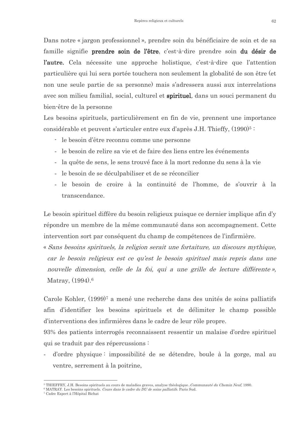Dans notre « jargon professionnel », prendre soin du bénéficiaire de soin et de sa famille signifie prendre soin de l'être, c'est-à-dire prendre soin du désir de l'autre. Cela nécessite une approche holistique, c'est-à-dire que l'attention particulière qui lui sera portée touchera non seulement la globalité de son être (et non une seule partie de sa personne) mais s'adressera aussi aux interrelations avec son milieu familial, social, culturel et spirituel, dans un souci permanent du bien-être de la personne

Les besoins spirituels, particulièrement en fin de vie, prennent une importance considérable et peuvent s'articuler entre eux d'après J.H. Thieffy, (1990)<sup>5:</sup>

- le besoin d'être reconnu comme une personne
- le besoin de relire sa vie et de faire des liens entre les événements
- la quête de sens, le sens trouvé face à la mort redonne du sens à la vie
- le besoin de se déculpabiliser et de se réconcilier
- le besoin de croire à la continuité de l'homme, de s'ouvrir à la transcendance.

Le besoin spirituel diffère du besoin religieux puisque ce dernier implique afin d'y répondre un membre de la même communauté dans son accompagnement. Cette intervention sort par conséquent du champ de compétences de l'infirmière.

« Sans besoins spirituels, la religion serait une fortaiture, un discours mythique, car le besoin religieux est ce qu'est le besoin spirituel mais repris dans une nouvelle dimension, celle de la foi, qui a une grille de lecture différente», Matray, (1994).<sup>6</sup>

Carole Kohler, (1999)<sup>7</sup> a mené une recherche dans des unités de soins palliatifs afin d'identifier les besoins spirituels et de délimiter le champ possible d'interventions des infirmières dans le cadre de leur rôle propre.

93% des patients interrogés reconnaissent ressentir un malaise d'ordre spirituel qui se traduit par des répercussions :

d'ordre physique impossibilité de se détendre, boule à la gorge, mal au ventre, serrement à la poitrine,

<sup>&</sup>lt;sup>5</sup> THIEFFRY, J.H. Besoins spirituels au cours de maladies graves, analyse théologique.. Communauté du Chemin Neuf, 1990.

 $6$  MATRAY. Les besoins spirituels. Cours dans le cadre du  $\overline{D}U$  de soins palliatifs. Paris Sud.

<sup>&</sup>lt;sup>7</sup> Cadre Expert à l'Hôpital Bichat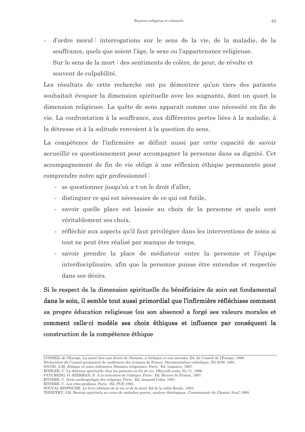d'ordre moral: interrogations sur le sens de la vie, de la maladie, de la souffrance, quels que soient l'âge, le sexe ou l'appartenance religieuse. Sur le sens de la mort : des sentiments de colère, de peur, de révolte et souvent de culpabilité.

Les résultats de cette recherche ont pu démontrer qu'un tiers des patients souhaitait évoquer la dimension spirituelle avec les soignants, dont un quart la dimension religieuse. La quête de sens apparaît comme une nécessité en fin de vie. La confrontation à la souffrance, aux différentes pertes liées à la maladie, à la détresse et à la solitude renvoient à la question du sens.

La compétence de l'infirmière se définit aussi par cette capacité de savoir accueillir ce questionnement pour accompagner la personne dans sa dignité. Cet accompagnement de fin de vie oblige à une réflexion éthique permanente pour comprendre notre agir professionnel:

- se questionner jusqu'où a-t-on le droit d'aller,
- distinguer ce qui est nécessaire de ce qui est futile,
- savoir quelle place est laissée au choix de la personne et quels sont véritablement ses choix,
- réfléchir aux aspects qu'il faut privilégier dans les interventions de soins si tout ne peut être réalisé par manque de temps,
- savoir prendre la place de médiateur entre la personne et l'équipe interdisciplinaire, afin que la personne puisse être entendue et respectée dans ses désirs.

Si le respect de la dimension spirituelle du bénéficiaire de soin est fondamental dans le soin, il semble tout aussi primordial que l'infirmière réfléchisse comment sa propre éducation religieuse (ou son absence) a forgé ses valeurs morales et comment celle-ci modèle ses choix éthiques et influence par conséquent la construction de la compétence éthique

DAVID, A.M. Ethique et soins infirmiers. Données religieuses, Paris : Ed. Lamarre, 1997.

RIVIERE, C. Les rites profanes. Paris : Ed. PUF, 1995.

CONSEIL de l'Europe. La santé face aux droits de l'homme, à l'éthique et aux morales. Ed. du Conseil de l'Europe, 1996. Déclaration du Conseil permanent de conférence des évêques de France. Documentation catholique, N0 2036, 1991.

KOHLER, C. La détresse spirituelle chez les patients en fin de vie. Objectifs soins, No 71, 1999.

PAYCHENG, O. SZERMAN, S. A la rencontre de l'éthique. Paris : Ed. Heures de France, 1997.

RIVIERE, C. Socio-anthropologie des religions. Paris : Ed. Armand Colin, 1997.

SOGYAL RINPOCHE. Le livre tibétain de la vie et de la mort. Ed de la table Ronde, 1993. THIEFFRY, J.H. Besoins spirituels au cours de maladies graves, analyse théologique.. Communauté du Chemin Neuf, 1990.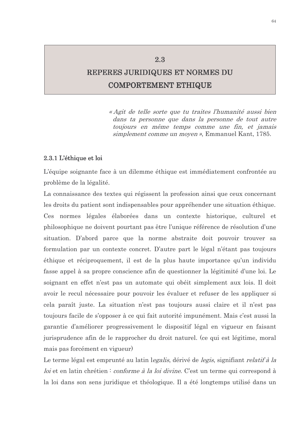# REPERES JURIDIQUES ET NORMES DU **COMPORTEMENT ETHIQUE**

2.3

« Agit de telle sorte que tu traites l'humanité aussi bien dans ta personne que dans la personne de tout autre toujours en même temps comme une fin, et jamais simplement comme un moyen », Emmanuel Kant, 1785.

#### 2.3.1 L'éthique et loi

L'équipe soignante face à un dilemme éthique est immédiatement confrontée au problème de la légalité.

La connaissance des textes qui régissent la profession ainsi que ceux concernant les droits du patient sont indispensables pour appréhender une situation éthique. Ces normes légales élaborées dans un contexte historique, culturel et philosophique ne doivent pourtant pas être l'unique référence de résolution d'une situation. D'abord parce que la norme abstraite doit pouvoir trouver sa formulation par un contexte concret. D'autre part le légal n'étant pas toujours éthique et réciproquement, il est de la plus haute importance qu'un individu fasse appel à sa propre conscience afin de questionner la légitimité d'une loi. Le soignant en effet n'est pas un automate qui obéit simplement aux lois. Il doit avoir le recul nécessaire pour pouvoir les évaluer et refuser de les appliquer si cela paraît juste. La situation n'est pas toujours aussi claire et il n'est pas toujours facile de s'opposer à ce qui fait autorité impunément. Mais c'est aussi la garantie d'améliorer progressivement le dispositif légal en vigueur en faisant jurisprudence afin de le rapprocher du droit naturel. (ce qui est légitime, moral mais pas forcément en vigueur)

Le terme légal est emprunté au latin l*egalis*, dérivé de *legis*, signifiant *relatif à la* loi et en latin chrétien : conforme à la loi divine. C'est un terme qui correspond à la loi dans son sens juridique et théologique. Il a été longtemps utilisé dans un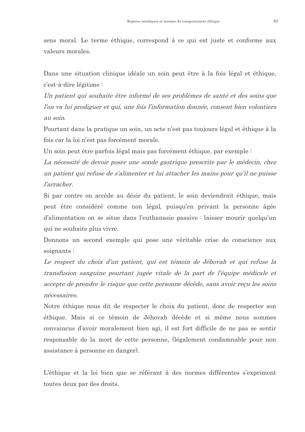sens moral. Le terme éthique, correspond à ce qui est juste et conforme aux valeurs morales.

Dans une situation clinique idéale un soin peut être à la fois légal et éthique, c'est-à-dire légitime :

Un patient qui souhaite être informé de ses problèmes de santé et des soins que l'on va lui prodiguer et qui, une fois l'information donnée, consent bien volontiers au soin.

Pourtant dans la pratique un soin, un acte n'est pas toujours légal et éthique à la fois car la loi n'est pas forcément morale.

Un soin peut être parfois légal mais pas forcément éthique, par exemple :

La nécessité de devoir poser une sonde gastrique prescrite par le médecin, chez un patient qui refuse de s'alimenter et lui attacher les mains pour qu'il ne puisse *l'arracher* 

Si par contre on accède au désir du patient, le soin deviendrait éthique, mais peut être considéré comme non légal, puisqu'en privant la personne âgée d'alimentation on se situe dans l'euthanasie passive : laisser mourir quelqu'un qui ne souhaite plus vivre.

Donnons un second exemple qui pose une véritable crise de conscience aux soignants:

Le respect du choix d'un patient, qui est témoin de Jéhovah et qui refuse la transfusion sanguine pourtant jugée vitale de la part de l'équipe médicale et accepte de prendre le risque que cette personne décède, sans avoir reçu les soins nécessaires.

Notre éthique nous dit de respecter le choix du patient, donc de respecter son éthique. Mais si ce témoin de Jéhovah décède et si même nous sommes convaincus d'avoir moralement bien agi, il est fort difficile de ne pas se sentir responsable de la mort de cette personne, (légalement condamnable pour non assistance à personne en danger).

L'éthique et la loi bien que se référant à des normes différentes s'expriment toutes deux par des droits.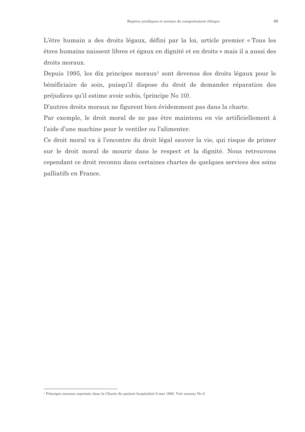L'être humain a des droits légaux, défini par la loi, article premier « Tous les êtres humains naissent libres et égaux en dignité et en droits » mais il a aussi des droits moraux.

Depuis 1995, les dix principes moraux<sup>1</sup> sont devenus des droits légaux pour le bénéficiaire de soin, puisqu'il dispose du droit de demander réparation des préjudices qu'il estime avoir subis, (principe No 10).

D'autres droits moraux ne figurent bien évidemment pas dans la charte.

Par exemple, le droit moral de ne pas être maintenu en vie artificiellement à l'aide d'une machine pour le ventiler ou l'alimenter.

Ce droit moral va à l'encontre du droit légal sauver la vie, qui risque de primer sur le droit moral de mourir dans le respect et la dignité. Nous retrouvons cependant ce droit reconnu dans certaines chartes de quelques services des soins palliatifs en France.

<sup>&</sup>lt;sup>1</sup> Principes moraux exprimés dans la Charte du patient hospitalisé 6 mai 1995. Voir annexe No 6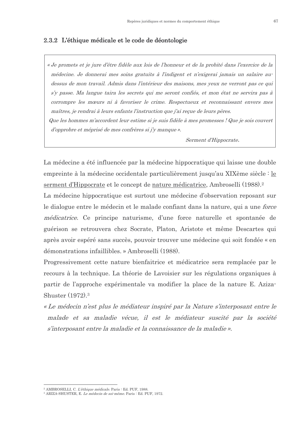## 2.3.2 L'éthique médicale et le code de déontologie

« Je promets et je jure d'être fidèle aux lois de l'honneur et de la probité dans l'exercice de la médecine. Je donnerai mes soins gratuits à l'indigent et n'exigerai jamais un salaire audessus de mon travail. Admis dans l'intérieur des maisons, mes yeux ne verront pas ce qui s'y passe. Ma langue taira les secrets qui me seront confiés, et mon état ne servira pas à corrompre les mœurs ni à favoriser le crime. Respectueux et reconnaissant envers mes maîtres, je rendrai à leurs enfants l'instruction que j'ai reçue de leurs pères. Que les hommes m'accordent leur estime si je suis fidèle à mes promesses ! Que je sois couvert d'opprobre et méprisé de mes confrères si j'y manque ».

Serment d'Hippocrate.

La médecine a été influencée par la médecine hippocratique qui laisse une double empreinte à la médecine occidentale particulièrement jusqu'au XIXème siècle : le serment d'Hippocrate et le concept de nature médicatrice, Ambroselli (1988).<sup>2</sup>

La médecine hippocratique est surtout une médecine d'observation reposant sur le dialogue entre le médecin et le malade confiant dans la nature, qui a une force *médicatrice.* Ce principe naturisme, d'une force naturelle et spontanée de guérison se retrouvera chez Socrate, Platon, Aristote et même Descartes qui après avoir espéré sans succès, pouvoir trouver une médecine qui soit fondée « en démonstrations infaillibles. » Ambroselli (1988).

Progressivement cette nature bienfaitrice et médicatrice sera remplacée par le recours à la technique. La théorie de Lavoisier sur les régulations organiques à partir de l'approche expérimentale va modifier la place de la nature E. Aziza-Shuster  $(1972)$ <sup>3</sup>

« Le médecin n'est plus le médiateur inspiré par la Nature s'interposant entre le malade et sa maladie vécue, il est le médiateur suscité par la société s'interposant entre la maladie et la connaissance de la maladie ».

<sup>&</sup>lt;sup>2</sup> AMBROSELLI, C. L'éthique médicale, Paris : Ed. PUF, 1988.

<sup>&</sup>lt;sup>3</sup> ARIZA-SHUSTER, E. Le médecin de soi-même. Paris : Ed. PUF, 1972.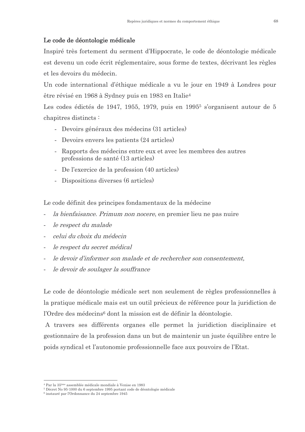# Le code de déontologie médicale

Inspiré très fortement du serment d'Hippocrate, le code de déontologie médicale est devenu un code écrit réglementaire, sous forme de textes, décrivant les règles et les devoirs du médecin.

Un code international d'éthique médicale a vu le jour en 1949 à Londres pour être révisé en 1968 à Sydney puis en 1983 en Italie<sup>4</sup>

Les codes édictés de 1947, 1955, 1979, puis en 1995<sup>5</sup> s'organisent autour de 5 chapitres distincts:

- Devoirs généraux des médecins (31 articles)
- Devoirs envers les patients (24 articles)
- Rapports des médecins entre eux et avec les membres des autres professions de santé (13 articles)
- De l'exercice de la profession (40 articles)
- Dispositions diverses (6 articles)

Le code définit des principes fondamentaux de la médecine

- *la bienfaisance. Primum non nocere*, en premier lieu ne pas nuire
- le respect du malade
- celui du choix du médecin
- le respect du secret médical
- le devoir d'informer son malade et de rechercher son consentement.
- le devoir de soulager la souffrance

Le code de déontologie médicale sert non seulement de règles professionnelles à la pratique médicale mais est un outil précieux de référence pour la juridiction de l'Ordre des médecins<sup>6</sup> dont la mission est de définir la déontologie.

A travers ses différents organes elle permet la juridiction disciplinaire et gestionnaire de la profession dans un but de maintenir un juste équilibre entre le poids syndical et l'autonomie professionnelle face aux pouvoirs de l'Etat.

<sup>&</sup>lt;sup>4</sup> Par la 35<sup>ème</sup> assemblée médicale mondiale à Venise en 1983

<sup>&</sup>lt;sup>5</sup> Décret No 95-1000 du 6 septembre 1995 portant code de déontologie médicale

<sup>&</sup>lt;sup>6</sup> instauré par l'Ordonnance du 24 septembre 1945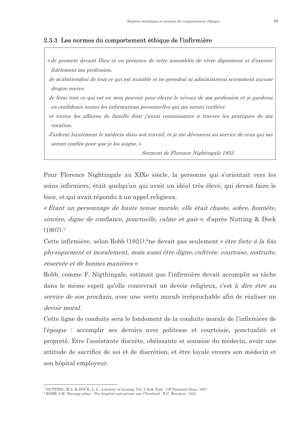# 2.3.3 Les normes du comportement éthique de l'infirmière

« Je promets devant Dieu et en présence de cette assemblée de vivre dignement et d'exercer fidèlement ma profession.

Je m'abstiendrai de tout ce qui est nuisible et ne prendrai ni administrerai sciemment aucune drogue nocive.

Je ferai tout ce qui est en mon pouvoir pour élever le niveau de ma profession et je garderai en confidence toutes les informations personnelles qui me seront confiées

et toutes les affaires de famille dont j'aurai connaissance à travers les pratiques de ma vocation.

J'aiderai loyalement le médecin dans son travail, et je me dévouerai au service de ceux qui me seront confiés pour que je les soigne. »

Serment de Florence Nightingale 1852

Pour Florence Nightingale au XIXe siècle, la personne qui s'orientait vers les soins infirmiers, était quelqu'un qui avait un idéal très élevé, qui devait faire le bien, et qui avait répondu à un appel religieux.

« Etant un personnage de haute tenue morale, elle était chaste, sobre, honnête, sincère, digne de confiance, ponctuelle, calme et gaie», d'après Nutting & Dock  $(1907).7$ 

Cette infirmière, selon Robb (1921), <sup>8</sup>ne devait pas seulement « être forte à la fois physiquement et moralement, mais aussi être digne, cultivée, courtoise, instruite, réservée et de bonnes manières »

Robb, comme F. Nigthingale, estimait que l'infirmière devait accomplir sa tâche dans le même esprit qu'elle concevrait un devoir religieux, c'est à *dire être au* service de son prochain, avec une vertu morale irréprochable afin de réaliser un devoir moral.

Cette ligne de conduite sera le fondement de la conduite morale de l'infirmière de l'époque : accomplir ses devoirs avec politesse et courtoisie, ponctualité et propreté. Etre l'assistante discrète, obéissante et soumise du médecin, avoir une attitude de sacrifice de soi et de discrétion, et être loyale envers son médecin et son hôpital employeur.

<sup>&</sup>lt;sup>7</sup> NUTTING, M.A. & DOCK, L. L. *A history of nursing*, Vol. 2 New York : GP Putnam's Sons. 1907.

<sup>&</sup>lt;sup>8</sup> ROBB, J.H. *Nursing ethics : For hospital and private use*. Cleveland : E.C. Koeckert, 1921.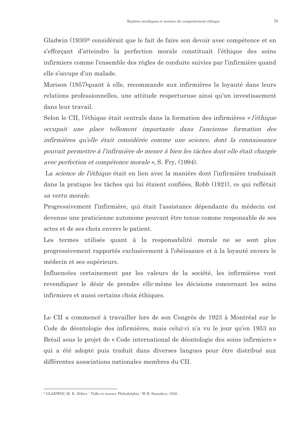Gladwin (1930)<sup>9</sup> considérait que le fait de faire son devoir avec compétence et en s'efforçant d'atteindre la perfection morale constituait l'éthique des soins infirmiers comme l'ensemble des règles de conduite suivies par l'infirmière quand elle s'occupe d'un malade.

Morison (1957)quant à elle, recommande aux infirmières la loyauté dans leurs relations professionnelles, une attitude respectueuse ainsi qu'un investissement dans leur travail.

Selon le CII, l'éthique était centrale dans la formation des infirmières « l'éthique occupait une place tellement importante dans l'ancienne formation des infirmières qu'elle était considérée comme une science, dont la connaissance pouvait permettre à l'infirmière de mener à bien les tâches dont elle était chargée avec perfection et compétence morale », S. Fry, (1994).

La science de l'éthique était en lien avec la manière dont l'infirmière traduisait dans la pratique les tâches qui lui étaient confiées, Robb (1921), ce qui reflètait sa vertu morale.

Progressivement l'infirmière, qui était l'assistance dépendante du médecin est devenue une praticienne autonome pouvant être tenue comme responsable de ses actes et de ses choix envers le patient.

Les termes utilisés quant à la responsabilité morale ne se sont plus progressivement rapportés exclusivement à l'obéissance et à la loyauté envers le médecin et ses supérieurs.

Influencées certainement par les valeurs de la société, les infirmières vont revendiquer le désir de prendre elle-même les décisions concernant les soins infirmiers et aussi certains choix éthiques.

Le CII a commencé à travailler lors de son Congrès de 1923 à Montréal sur le Code de déontologie des infirmières, mais celui-ci n'a vu le jour qu'en 1953 au Brésil sous le projet de « Code international de déontologie des soins infirmiers » qui a été adopté puis traduit dans diverses langues pour être distribué aux différentes associations nationales membres du CII.

<sup>&</sup>lt;sup>9</sup> GLADWIN, M. E. *Ethics : Talks to nurses*. Philadelphia : W.B. Saunders, 1930.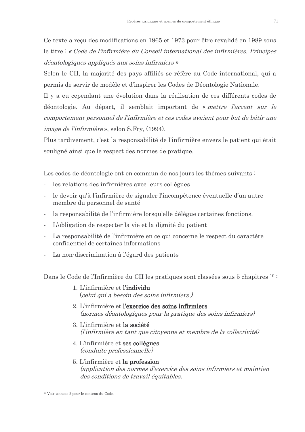Ce texte a recu des modifications en 1965 et 1973 pour être revalidé en 1989 sous le titre : « Code de l'infirmière du Conseil international des infirmières. Principes déontologiques appliqués aux soins infirmiers »

Selon le CII, la majorité des pays affiliés se réfère au Code international, qui a permis de servir de modèle et d'inspirer les Codes de Déontologie Nationale.

Il y a eu cependant une évolution dans la réalisation de ces différents codes de déontologie. Au départ, il semblait important de « mettre l'accent sur le comportement personnel de l'infirmière et ces codes avaient pour but de bâtir une *image de l'infirmière* », selon S.Fry, (1994).

Plus tardivement, c'est la responsabilité de l'infirmière envers le patient qui était souligné ainsi que le respect des normes de pratique.

Les codes de déontologie ont en commun de nos jours les thèmes suivants :

- les relations des infirmières avec leurs collègues
- le devoir qu'à l'infirmière de signaler l'incompétence éventuelle d'un autre membre du personnel de santé
- la responsabilité de l'infirmière lorsqu'elle délègue certaines fonctions.
- L'obligation de respecter la vie et la dignité du patient
- La responsabilité de l'infirmière en ce qui concerne le respect du caractère confidentiel de certaines informations
- La non-discrimination à l'égard des patients

Dans le Code de l'Infirmière du CII les pratiques sont classées sous 5 chapitres <sup>10 :</sup>

- 1. L'infirmière et l'individu (celui qui a besoin des soins infirmiers)
- 2. L'infirmière et l'exercice des soins infirmiers (normes déontologiques pour la pratique des soins infirmiers)
- 3. L'infirmière et la société (l'infirmière en tant que citoyenne et membre de la collectivité)
- 4. L'infirmière et ses collègues *(conduite professionnelle)*
- 5. L'infirmière et la profession (application des normes d'exercice des soins infirmiers et maintien des conditions de travail équitables.

<sup>&</sup>lt;sup>10</sup> Voir annexe 2 pour le contenu du Code.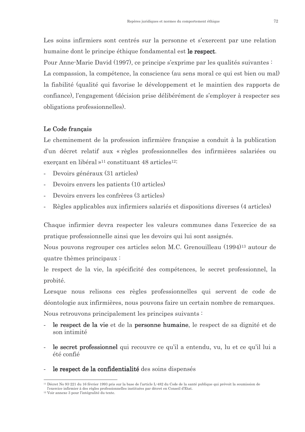Les soins infirmiers sont centrés sur la personne et s'exercent par une relation humaine dont le principe éthique fondamental est le respect.

Pour Anne-Marie David (1997), ce principe s'exprime par les qualités suivantes : La compassion, la compétence, la conscience (au sens moral ce qui est bien ou mal) la fiabilité (qualité qui favorise le développement et le maintien des rapports de confiance), l'engagement (décision prise délibérément de s'employer à respecter ses obligations professionnelles).

# Le Code français

Le cheminement de la profession infirmière française a conduit à la publication d'un décret relatif aux « règles professionnelles des infirmières salariées ou exercant en libéral »<sup>11</sup> constituant 48 articles<sup>12:</sup>

- Devoirs généraux (31 articles)  $\overline{a}$
- Devoirs envers les patients (10 articles)
- Devoirs envers les confrères (3 articles)
- Règles applicables aux infirmiers salariés et dispositions diverses (4 articles)

Chaque infirmier devra respecter les valeurs communes dans l'exercice de sa pratique professionnelle ainsi que les devoirs qui lui sont assignés.

Nous pouvons regrouper ces articles selon M.C. Grenouilleau (1994)<sup>13</sup> autour de quatre thèmes principaux:

le respect de la vie, la spécificité des compétences, le secret professionnel, la probité.

Lorsque nous relisons ces règles professionnelles qui servent de code de déontologie aux infirmières, nous pouvons faire un certain nombre de remarques. Nous retrouvons principalement les principes suivants :

- le respect de la vie et de la personne humaine, le respect de sa dignité et de son intimité
- le secret professionnel qui recouvre ce qu'il a entendu, vu, lu et ce qu'il lui a été confié
- le respect de la confidentialité des soins dispensés

<sup>&</sup>lt;sup>11</sup> Décret No 93-221 du 16 février 1993 pris sur la base de l'article L-482 du Code de la santé publique qui prévoit la soumission de l'exercice infirmier à des règles professionnelles instituées par décret en Conseil d'Etat.

<sup>&</sup>lt;sup>12</sup> Voir annexe 3 pour l'intégralité du texte.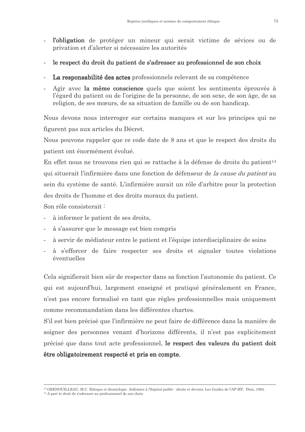- l'obligation de protéger un mineur qui serait victime de sévices ou de  $\mathbf{r}$ privation et d'alerter si nécessaire les autorités
- le respect du droit du patient de s'adresser au professionnel de son choix
- La responsabilité des actes professionnels relevant de sa compétence
- Agir avec la même conscience quels que soient les sentiments éprouvés à l'égard du patient ou de l'origine de la personne, de son sexe, de son âge, de sa religion, de ses mœurs, de sa situation de famille ou de son handicap.

Nous devons nous interroger sur certains manques et sur les principes qui ne figurent pas aux articles du Décret.

Nous pouvons rappeler que ce code date de 8 ans et que le respect des droits du patient ont énormément évolué.

En effet nous ne trouvons rien qui se rattache à la défense de droits du patient<sup>14</sup> qui situerait l'infirmière dans une fonction de défenseur de la cause du patient au sein du système de santé. L'infirmière aurait un rôle d'arbitre pour la protection des droits de l'homme et des droits moraux du patient.

Son rôle consisterait:

- à informer le patient de ses droits.
- à s'assurer que le message est bien compris
- à servir de médiateur entre le patient et l'équipe interdisciplinaire de soins
- à s'efforcer de faire respecter ses droits et signaler toutes violations  $\sim$ éventuelles

Cela signifierait bien sûr de respecter dans sa fonction l'autonomie du patient. Ce qui est aujourd'hui, largement enseigné et pratiqué généralement en France, n'est pas encore formalisé en tant que règles professionnelles mais uniquement comme recommandation dans les différentes chartes

S'il est bien précisé que l'infirmière ne peut faire de différence dans la manière de soigner des personnes venant d'horizons différents, il n'est pas explicitement précisé que dans tout acte professionnel, le respect des valeurs du patient doit être obligatoirement respecté et pris en compte.

<sup>&</sup>lt;sup>13</sup> GRENOUILLEAU. M.C. Ethique et déontologie. *Infirmier à l'hôpital public : droits et devoirs*. Les Guides de l'AP-HP. Doin. 1994.

<sup>&</sup>lt;sup>14</sup> A part le droit de s'adresser au professionnel de son choix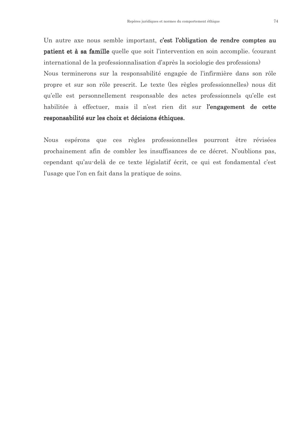Un autre axe nous semble important, c'est l'obligation de rendre comptes au **patient et à sa famille** quelle que soit l'intervention en soin accomplie. (courant international de la professionnalisation d'après la sociologie des professions) Nous terminerons sur la responsabilité engagée de l'infirmière dans son rôle propre et sur son rôle prescrit. Le texte (les règles professionnelles) nous dit qu'elle est personnellement responsable des actes professionnels qu'elle est habilitée à effectuer, mais il n'est rien dit sur l'engagement de cette responsabilité sur les choix et décisions éthiques.

Nous espérons que ces règles professionnelles pourront être révisées prochainement afin de combler les insuffisances de ce décret. N'oublions pas, cependant qu'au-delà de ce texte législatif écrit, ce qui est fondamental c'est l'usage que l'on en fait dans la pratique de soins.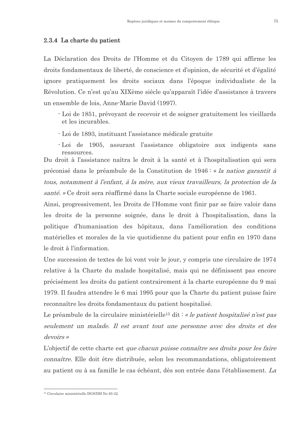## 2.3.4 La charte du patient

La Déclaration des Droits de l'Homme et du Citoyen de 1789 qui affirme les droits fondamentaux de liberté, de conscience et d'opinion, de sécurité et d'égalité ignore pratiquement les droits sociaux dans l'époque individualiste de la Révolution. Ce n'est qu'au XIXème siècle qu'apparaît l'idée d'assistance à travers un ensemble de lois, Anne-Marie David (1997).

- Loi de 1851, prévoyant de recevoir et de soigner gratuitement les vieillards et les incurables.
- Loi de 1893, instituant l'assistance médicale gratuite

- Loi de 1905, assurant l'assistance obligatoire aux indigents sans ressources.

Du droit à l'assistance naîtra le droit à la santé et à l'hospitalisation qui sera préconisé dans le préambule de la Constitution de 1946 : « la nation garantit à tous, notamment à l'enfant, à la mère, aux vieux travailleurs, la protection de la santé. » Ce droit sera réaffirmé dans la Charte sociale européenne de 1961.

Ainsi, progressivement, les Droits de l'Homme vont finir par se faire valoir dans les droits de la personne soignée, dans le droit à l'hospitalisation, dans la politique d'humanisation des hôpitaux, dans l'amélioration des conditions matérielles et morales de la vie quotidienne du patient pour enfin en 1970 dans le droit à l'information.

Une succession de textes de loi vont voir le jour, y compris une circulaire de 1974 relative à la Charte du malade hospitalisé, mais qui ne définissent pas encore précisément les droits du patient contrairement à la charte européenne du 9 mai 1979. Il faudra attendre le 6 mai 1995 pour que la Charte du patient puisse faire reconnaître les droits fondamentaux du patient hospitalisé.

Le préambule de la circulaire ministérielle<sup>15</sup> dit : « le patient hospitalisé n'est pas seulement un malade. Il est avant tout une personne avec des droits et des devoirs »

L'objectif de cette charte est *que chacun puisse connaître ses droits pour les faire connaître.* Elle doit être distribuée, selon les recommandations, obligatoirement au patient ou à sa famille le cas échéant, dès son entrée dans l'établissement. La

<sup>&</sup>lt;sup>15</sup> Circulaire ministérielle DGS/DH No 95-22.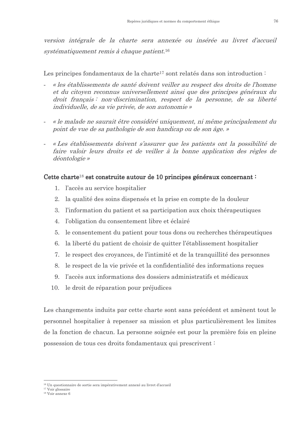version intégrale de la charte sera annexée ou insérée au livret d'accueil systématiquement remis à chaque patient.<sup>16</sup>

Les principes fondamentaux de la charte<sup>17</sup> sont relatés dans son introduction :

- « les établissements de santé doivent veiller au respect des droits de l'homme et du citoyen reconnus universellement ainsi que des principes généraux du droit français : non-discrimination, respect de la personne, de sa liberté individuelle, de sa vie privée, de son autonomie »
- « le malade ne saurait être considéré uniquement, ni même principalement du point de vue de sa pathologie de son handicap ou de son âge. »
- « Les établissements doivent s'assurer que les patients ont la possibilité de faire valoir leurs droits et de veiller à la bonne application des règles de déontologie »

# Cette charte<sup>18</sup> est construite autour de 10 principes généraux concernant :

- 1. l'accès au service hospitalier
- 2. la qualité des soins dispensés et la prise en compte de la douleur
- 3. l'information du patient et sa participation aux choix thérapeutiques
- 4. l'obligation du consentement libre et éclairé
- 5. le consentement du patient pour tous dons ou recherches thérapeutiques
- 6. la liberté du patient de choisir de quitter l'établissement hospitalier
- 7. le respect des croyances, de l'intimité et de la tranquillité des personnes
- 8. le respect de la vie privée et la confidentialité des informations reçues
- 9. l'accès aux informations des dossiers administratifs et médicaux
- 10. le droit de réparation pour préjudices

Les changements induits par cette charte sont sans précédent et amènent tout le personnel hospitalier à repenser sa mission et plus particulièrement les limites de la fonction de chacun. La personne soignée est pour la première fois en pleine possession de tous ces droits fondamentaux qui prescrivent:

<sup>17</sup> Voir glossaire

<sup>&</sup>lt;sup>16</sup> Un questionnaire de sortie sera impérativement annexé au livret d'accueil

 $18$  Voir annexe  $6$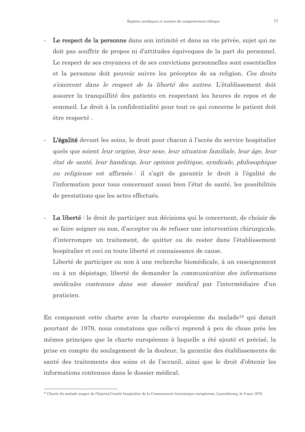- Le respect de la personne dans son intimité et dans sa vie privée, sujet qui ne doit pas souffrir de propos ni d'attitudes équivoques de la part du personnel. Le respect de ses croyances et de ses convictions personnelles sont essentielles et la personne doit pouvoir suivre les préceptes de sa religion. Ces droits s'exercent dans le respect de la liberté des autres. L'établissement doit assurer la tranquillité des patients en respectant les heures de repos et de sommeil. Le droit à la confidentialité pour tout ce qui concerne le patient doit être respecté.
- L'égalité devant les soins, le droit pour chacun à l'accès du service hospitalier quels que soient *leur origine*, *leur sexe*, *leur situation familiale*, *leur âge*, *leur* état de santé, leur handicap, leur opinion politique, syndicale, philosophique *ou religieuse* est affirmée il s'agit de garantir le droit à l'égalité de l'information pour tous concernant aussi bien l'état de santé, les possibilités de prestations que les actes effectués.
- La liberté : le droit de participer aux décisions qui le concernent, de choisir de se faire soigner ou non, d'accepter ou de refuser une intervention chirurgicale, d'interrompre un traitement, de quitter ou de rester dans l'établissement hospitalier et ceci en toute liberté et connaissance de cause.

Liberté de participer ou non à une recherche biomédicale, à un enseignement ou à un dépistage, liberté de demander la *communication des informations* médicales contenues dans son dossier médical par l'intermédiaire d'un praticien.

En comparant cette charte avec la charte européenne du malade<sup>19</sup> qui datait pourtant de 1979, nous constatons que celle-ci reprend à peu de chose près les mêmes principes que la charte européenne à laquelle a été ajouté et précisé, la prise en compte du soulagement de la douleur, la garantie des établissements de santé des traitements des soins et de l'accueil, ainsi que le droit d'obtenir les informations contenues dans le dossier médical.

 $^{19}$  Charte du malade usager de l'hônital Comité hospitalier de la Communauté économique européenne. Luxembourg, le 9 mai 1979